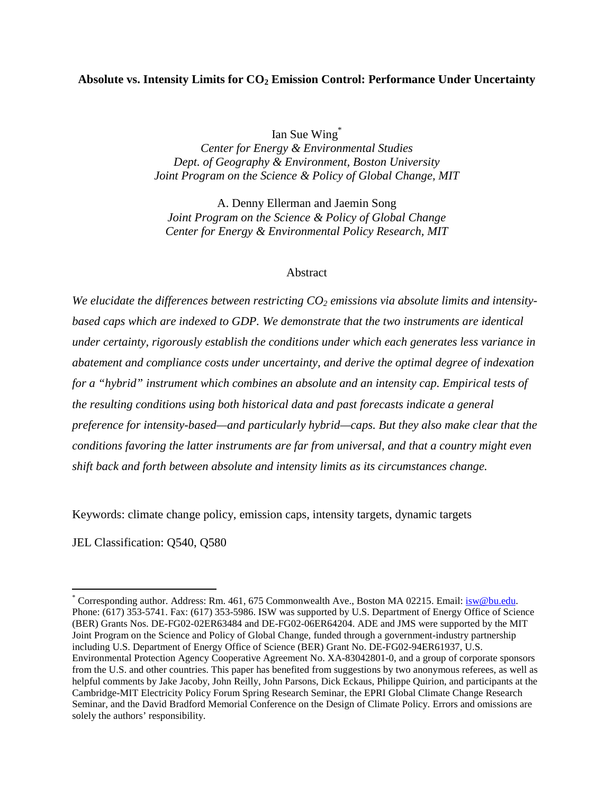# **Absolute vs. Intensity Limits for CO2 Emission Control: Performance Under Uncertainty**

Ian Sue Wing\*

*Center for Energy & Environmental Studies Dept. of Geography & Environment, Boston University Joint Program on the Science & Policy of Global Change, MIT* 

A. Denny Ellerman and Jaemin Song *Joint Program on the Science & Policy of Global Change Center for Energy & Environmental Policy Research, MIT* 

### Abstract

*We elucidate the differences between restricting CO2 emissions via absolute limits and intensitybased caps which are indexed to GDP. We demonstrate that the two instruments are identical under certainty, rigorously establish the conditions under which each generates less variance in abatement and compliance costs under uncertainty, and derive the optimal degree of indexation for a "hybrid" instrument which combines an absolute and an intensity cap. Empirical tests of the resulting conditions using both historical data and past forecasts indicate a general preference for intensity-based—and particularly hybrid—caps. But they also make clear that the conditions favoring the latter instruments are far from universal, and that a country might even shift back and forth between absolute and intensity limits as its circumstances change.* 

Keywords: climate change policy, emission caps, intensity targets, dynamic targets

JEL Classification: Q540, Q580

 $\overline{a}$ 

<sup>\*</sup> Corresponding author. Address: Rm. 461, 675 Commonwealth Ave., Boston MA 02215. Email: isw@bu.edu. Phone: (617) 353-5741. Fax: (617) 353-5986. ISW was supported by U.S. Department of Energy Office of Science (BER) Grants Nos. DE-FG02-02ER63484 and DE-FG02-06ER64204. ADE and JMS were supported by the MIT Joint Program on the Science and Policy of Global Change, funded through a government-industry partnership including U.S. Department of Energy Office of Science (BER) Grant No. DE-FG02-94ER61937, U.S. Environmental Protection Agency Cooperative Agreement No. XA-83042801-0, and a group of corporate sponsors from the U.S. and other countries. This paper has benefited from suggestions by two anonymous referees, as well as helpful comments by Jake Jacoby, John Reilly, John Parsons, Dick Eckaus, Philippe Quirion, and participants at the Cambridge-MIT Electricity Policy Forum Spring Research Seminar, the EPRI Global Climate Change Research Seminar, and the David Bradford Memorial Conference on the Design of Climate Policy. Errors and omissions are solely the authors' responsibility.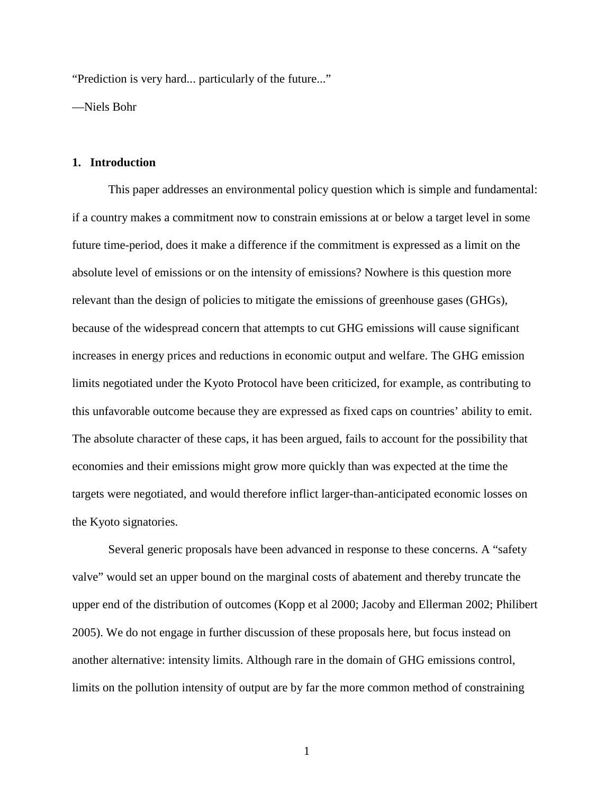"Prediction is very hard... particularly of the future..."

—Niels Bohr

## **1. Introduction**

This paper addresses an environmental policy question which is simple and fundamental: if a country makes a commitment now to constrain emissions at or below a target level in some future time-period, does it make a difference if the commitment is expressed as a limit on the absolute level of emissions or on the intensity of emissions? Nowhere is this question more relevant than the design of policies to mitigate the emissions of greenhouse gases (GHGs), because of the widespread concern that attempts to cut GHG emissions will cause significant increases in energy prices and reductions in economic output and welfare. The GHG emission limits negotiated under the Kyoto Protocol have been criticized, for example, as contributing to this unfavorable outcome because they are expressed as fixed caps on countries' ability to emit. The absolute character of these caps, it has been argued, fails to account for the possibility that economies and their emissions might grow more quickly than was expected at the time the targets were negotiated, and would therefore inflict larger-than-anticipated economic losses on the Kyoto signatories.

Several generic proposals have been advanced in response to these concerns. A "safety valve" would set an upper bound on the marginal costs of abatement and thereby truncate the upper end of the distribution of outcomes (Kopp et al 2000; Jacoby and Ellerman 2002; Philibert 2005). We do not engage in further discussion of these proposals here, but focus instead on another alternative: intensity limits. Although rare in the domain of GHG emissions control, limits on the pollution intensity of output are by far the more common method of constraining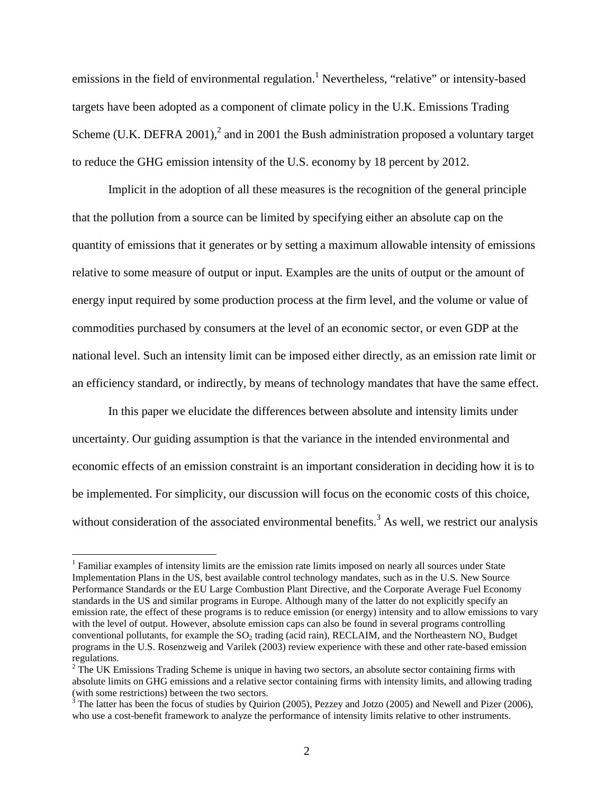emissions in the field of environmental regulation.<sup>1</sup> Nevertheless, "relative" or intensity-based targets have been adopted as a component of climate policy in the U.K. Emissions Trading Scheme (U.K. DEFRA 2001),<sup>2</sup> and in 2001 the Bush administration proposed a voluntary target to reduce the GHG emission intensity of the U.S. economy by 18 percent by 2012.

Implicit in the adoption of all these measures is the recognition of the general principle that the pollution from a source can be limited by specifying either an absolute cap on the quantity of emissions that it generates or by setting a maximum allowable intensity of emissions relative to some measure of output or input. Examples are the units of output or the amount of energy input required by some production process at the firm level, and the volume or value of commodities purchased by consumers at the level of an economic sector, or even GDP at the national level. Such an intensity limit can be imposed either directly, as an emission rate limit or an efficiency standard, or indirectly, by means of technology mandates that have the same effect.

In this paper we elucidate the differences between absolute and intensity limits under uncertainty. Our guiding assumption is that the variance in the intended environmental and economic effects of an emission constraint is an important consideration in deciding how it is to be implemented. For simplicity, our discussion will focus on the economic costs of this choice, without consideration of the associated environmental benefits.<sup>3</sup> As well, we restrict our analysis

 $\overline{a}$ 

<sup>&</sup>lt;sup>1</sup> Familiar examples of intensity limits are the emission rate limits imposed on nearly all sources under State Implementation Plans in the US, best available control technology mandates, such as in the U.S. New Source Performance Standards or the EU Large Combustion Plant Directive, and the Corporate Average Fuel Economy standards in the US and similar programs in Europe. Although many of the latter do not explicitly specify an emission rate, the effect of these programs is to reduce emission (or energy) intensity and to allow emissions to vary with the level of output. However, absolute emission caps can also be found in several programs controlling conventional pollutants, for example the  $SO<sub>2</sub>$  trading (acid rain), RECLAIM, and the Northeastern NO<sub>x</sub> Budget programs in the U.S. Rosenzweig and Varilek (2003) review experience with these and other rate-based emission regulations.

 $2^{2}$  The UK Emissions Trading Scheme is unique in having two sectors, an absolute sector containing firms with absolute limits on GHG emissions and a relative sector containing firms with intensity limits, and allowing trading (with some restrictions) between the two sectors. 3 The latter has been the focus of studies by Quirion (2005), Pezzey and Jotzo (2005) and Newell and Pizer (2006),

who use a cost-benefit framework to analyze the performance of intensity limits relative to other instruments.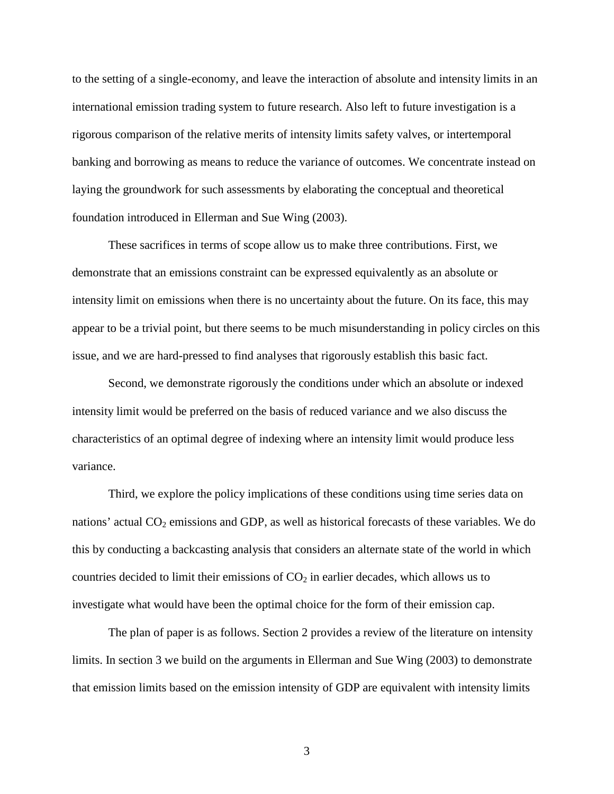to the setting of a single-economy, and leave the interaction of absolute and intensity limits in an international emission trading system to future research. Also left to future investigation is a rigorous comparison of the relative merits of intensity limits safety valves, or intertemporal banking and borrowing as means to reduce the variance of outcomes. We concentrate instead on laying the groundwork for such assessments by elaborating the conceptual and theoretical foundation introduced in Ellerman and Sue Wing (2003).

These sacrifices in terms of scope allow us to make three contributions. First, we demonstrate that an emissions constraint can be expressed equivalently as an absolute or intensity limit on emissions when there is no uncertainty about the future. On its face, this may appear to be a trivial point, but there seems to be much misunderstanding in policy circles on this issue, and we are hard-pressed to find analyses that rigorously establish this basic fact.

Second, we demonstrate rigorously the conditions under which an absolute or indexed intensity limit would be preferred on the basis of reduced variance and we also discuss the characteristics of an optimal degree of indexing where an intensity limit would produce less variance.

Third, we explore the policy implications of these conditions using time series data on nations' actual  $CO<sub>2</sub>$  emissions and GDP, as well as historical forecasts of these variables. We do this by conducting a backcasting analysis that considers an alternate state of the world in which countries decided to limit their emissions of  $CO<sub>2</sub>$  in earlier decades, which allows us to investigate what would have been the optimal choice for the form of their emission cap.

The plan of paper is as follows. Section 2 provides a review of the literature on intensity limits. In section 3 we build on the arguments in Ellerman and Sue Wing (2003) to demonstrate that emission limits based on the emission intensity of GDP are equivalent with intensity limits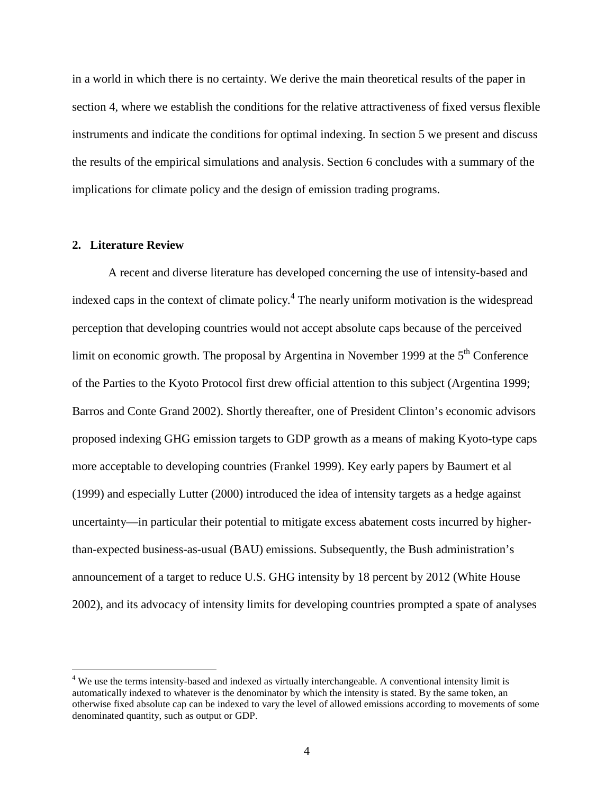in a world in which there is no certainty. We derive the main theoretical results of the paper in section 4, where we establish the conditions for the relative attractiveness of fixed versus flexible instruments and indicate the conditions for optimal indexing. In section 5 we present and discuss the results of the empirical simulations and analysis. Section 6 concludes with a summary of the implications for climate policy and the design of emission trading programs.

#### **2. Literature Review**

 $\overline{a}$ 

A recent and diverse literature has developed concerning the use of intensity-based and indexed caps in the context of climate policy.<sup>4</sup> The nearly uniform motivation is the widespread perception that developing countries would not accept absolute caps because of the perceived limit on economic growth. The proposal by Argentina in November 1999 at the  $5<sup>th</sup>$  Conference of the Parties to the Kyoto Protocol first drew official attention to this subject (Argentina 1999; Barros and Conte Grand 2002). Shortly thereafter, one of President Clinton's economic advisors proposed indexing GHG emission targets to GDP growth as a means of making Kyoto-type caps more acceptable to developing countries (Frankel 1999). Key early papers by Baumert et al (1999) and especially Lutter (2000) introduced the idea of intensity targets as a hedge against uncertainty—in particular their potential to mitigate excess abatement costs incurred by higherthan-expected business-as-usual (BAU) emissions. Subsequently, the Bush administration's announcement of a target to reduce U.S. GHG intensity by 18 percent by 2012 (White House 2002), and its advocacy of intensity limits for developing countries prompted a spate of analyses

<sup>&</sup>lt;sup>4</sup> We use the terms intensity-based and indexed as virtually interchangeable. A conventional intensity limit is automatically indexed to whatever is the denominator by which the intensity is stated. By the same token, an otherwise fixed absolute cap can be indexed to vary the level of allowed emissions according to movements of some denominated quantity, such as output or GDP.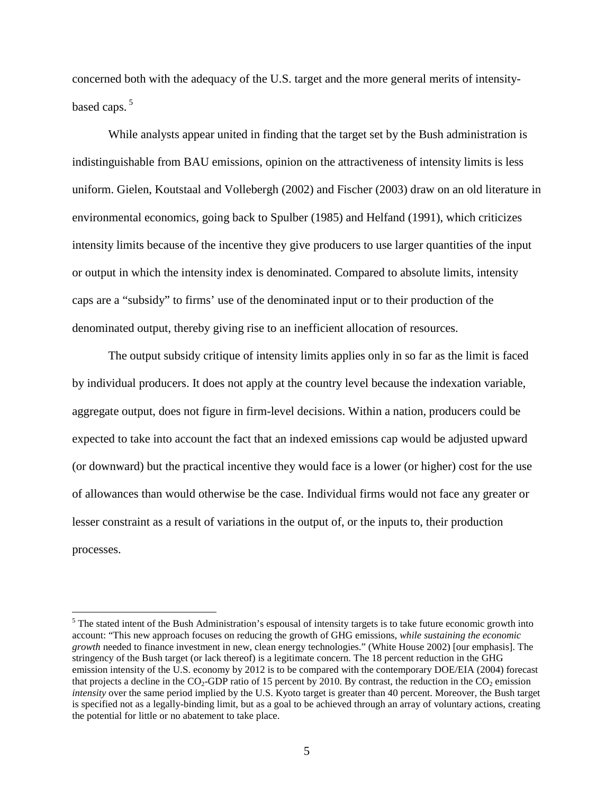concerned both with the adequacy of the U.S. target and the more general merits of intensitybased caps.<sup>5</sup>

While analysts appear united in finding that the target set by the Bush administration is indistinguishable from BAU emissions, opinion on the attractiveness of intensity limits is less uniform. Gielen, Koutstaal and Vollebergh (2002) and Fischer (2003) draw on an old literature in environmental economics, going back to Spulber (1985) and Helfand (1991), which criticizes intensity limits because of the incentive they give producers to use larger quantities of the input or output in which the intensity index is denominated. Compared to absolute limits, intensity caps are a "subsidy" to firms' use of the denominated input or to their production of the denominated output, thereby giving rise to an inefficient allocation of resources.

The output subsidy critique of intensity limits applies only in so far as the limit is faced by individual producers. It does not apply at the country level because the indexation variable, aggregate output, does not figure in firm-level decisions. Within a nation, producers could be expected to take into account the fact that an indexed emissions cap would be adjusted upward (or downward) but the practical incentive they would face is a lower (or higher) cost for the use of allowances than would otherwise be the case. Individual firms would not face any greater or lesser constraint as a result of variations in the output of, or the inputs to, their production processes.

 $\overline{a}$ 

 $<sup>5</sup>$  The stated intent of the Bush Administration's espousal of intensity targets is to take future economic growth into</sup> account: "This new approach focuses on reducing the growth of GHG emissions, *while sustaining the economic growth* needed to finance investment in new, clean energy technologies." (White House 2002) [our emphasis]. The stringency of the Bush target (or lack thereof) is a legitimate concern. The 18 percent reduction in the GHG emission intensity of the U.S. economy by 2012 is to be compared with the contemporary DOE/EIA (2004) forecast that projects a decline in the  $CO_2$ -GDP ratio of 15 percent by 2010. By contrast, the reduction in the  $CO_2$  emission *intensity* over the same period implied by the U.S. Kyoto target is greater than 40 percent. Moreover, the Bush target is specified not as a legally-binding limit, but as a goal to be achieved through an array of voluntary actions, creating the potential for little or no abatement to take place.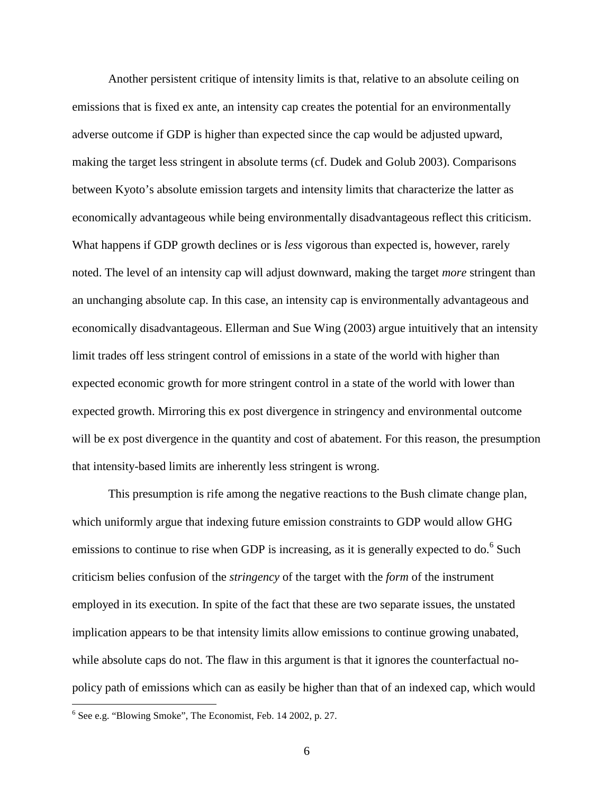Another persistent critique of intensity limits is that, relative to an absolute ceiling on emissions that is fixed ex ante, an intensity cap creates the potential for an environmentally adverse outcome if GDP is higher than expected since the cap would be adjusted upward, making the target less stringent in absolute terms (cf. Dudek and Golub 2003). Comparisons between Kyoto's absolute emission targets and intensity limits that characterize the latter as economically advantageous while being environmentally disadvantageous reflect this criticism. What happens if GDP growth declines or is *less* vigorous than expected is, however, rarely noted. The level of an intensity cap will adjust downward, making the target *more* stringent than an unchanging absolute cap. In this case, an intensity cap is environmentally advantageous and economically disadvantageous. Ellerman and Sue Wing (2003) argue intuitively that an intensity limit trades off less stringent control of emissions in a state of the world with higher than expected economic growth for more stringent control in a state of the world with lower than expected growth. Mirroring this ex post divergence in stringency and environmental outcome will be ex post divergence in the quantity and cost of abatement. For this reason, the presumption that intensity-based limits are inherently less stringent is wrong.

This presumption is rife among the negative reactions to the Bush climate change plan, which uniformly argue that indexing future emission constraints to GDP would allow GHG emissions to continue to rise when GDP is increasing, as it is generally expected to do.<sup>6</sup> Such criticism belies confusion of the *stringency* of the target with the *form* of the instrument employed in its execution. In spite of the fact that these are two separate issues, the unstated implication appears to be that intensity limits allow emissions to continue growing unabated, while absolute caps do not. The flaw in this argument is that it ignores the counterfactual nopolicy path of emissions which can as easily be higher than that of an indexed cap, which would

 $\overline{a}$ 

<sup>&</sup>lt;sup>6</sup> See e.g. "Blowing Smoke", The Economist, Feb. 14 2002, p. 27.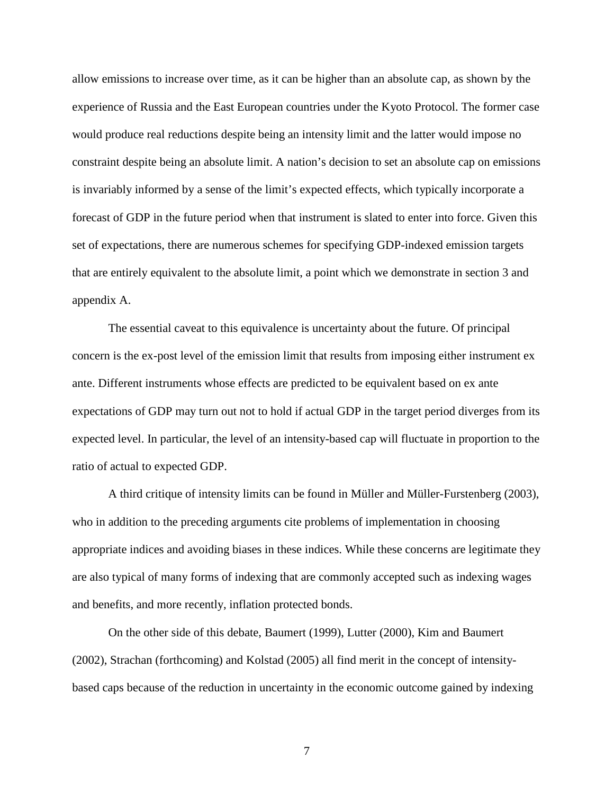allow emissions to increase over time, as it can be higher than an absolute cap, as shown by the experience of Russia and the East European countries under the Kyoto Protocol. The former case would produce real reductions despite being an intensity limit and the latter would impose no constraint despite being an absolute limit. A nation's decision to set an absolute cap on emissions is invariably informed by a sense of the limit's expected effects, which typically incorporate a forecast of GDP in the future period when that instrument is slated to enter into force. Given this set of expectations, there are numerous schemes for specifying GDP-indexed emission targets that are entirely equivalent to the absolute limit, a point which we demonstrate in section 3 and appendix A.

The essential caveat to this equivalence is uncertainty about the future. Of principal concern is the ex-post level of the emission limit that results from imposing either instrument ex ante. Different instruments whose effects are predicted to be equivalent based on ex ante expectations of GDP may turn out not to hold if actual GDP in the target period diverges from its expected level. In particular, the level of an intensity-based cap will fluctuate in proportion to the ratio of actual to expected GDP.

A third critique of intensity limits can be found in Müller and Müller-Furstenberg (2003), who in addition to the preceding arguments cite problems of implementation in choosing appropriate indices and avoiding biases in these indices. While these concerns are legitimate they are also typical of many forms of indexing that are commonly accepted such as indexing wages and benefits, and more recently, inflation protected bonds.

On the other side of this debate, Baumert (1999), Lutter (2000), Kim and Baumert (2002), Strachan (forthcoming) and Kolstad (2005) all find merit in the concept of intensitybased caps because of the reduction in uncertainty in the economic outcome gained by indexing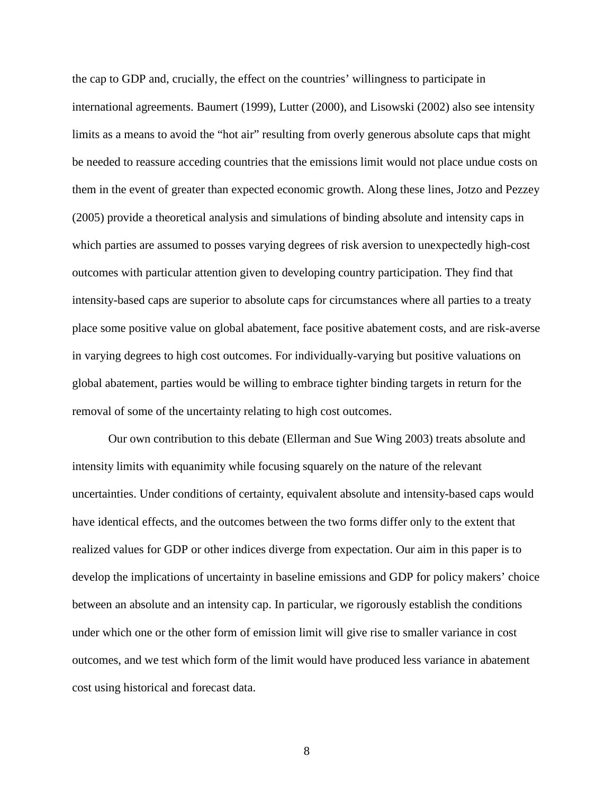the cap to GDP and, crucially, the effect on the countries' willingness to participate in international agreements. Baumert (1999), Lutter (2000), and Lisowski (2002) also see intensity limits as a means to avoid the "hot air" resulting from overly generous absolute caps that might be needed to reassure acceding countries that the emissions limit would not place undue costs on them in the event of greater than expected economic growth. Along these lines, Jotzo and Pezzey (2005) provide a theoretical analysis and simulations of binding absolute and intensity caps in which parties are assumed to posses varying degrees of risk aversion to unexpectedly high-cost outcomes with particular attention given to developing country participation. They find that intensity-based caps are superior to absolute caps for circumstances where all parties to a treaty place some positive value on global abatement, face positive abatement costs, and are risk-averse in varying degrees to high cost outcomes. For individually-varying but positive valuations on global abatement, parties would be willing to embrace tighter binding targets in return for the removal of some of the uncertainty relating to high cost outcomes.

Our own contribution to this debate (Ellerman and Sue Wing 2003) treats absolute and intensity limits with equanimity while focusing squarely on the nature of the relevant uncertainties. Under conditions of certainty, equivalent absolute and intensity-based caps would have identical effects, and the outcomes between the two forms differ only to the extent that realized values for GDP or other indices diverge from expectation. Our aim in this paper is to develop the implications of uncertainty in baseline emissions and GDP for policy makers' choice between an absolute and an intensity cap. In particular, we rigorously establish the conditions under which one or the other form of emission limit will give rise to smaller variance in cost outcomes, and we test which form of the limit would have produced less variance in abatement cost using historical and forecast data.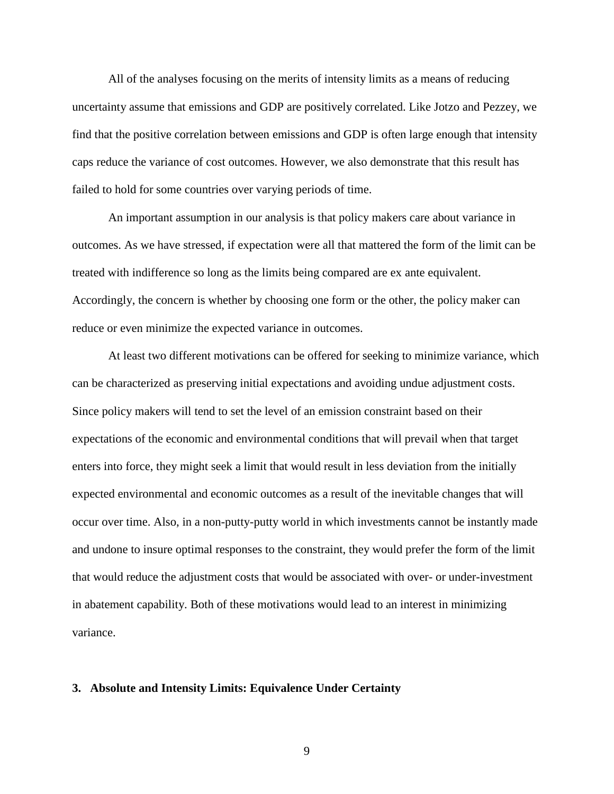All of the analyses focusing on the merits of intensity limits as a means of reducing uncertainty assume that emissions and GDP are positively correlated. Like Jotzo and Pezzey, we find that the positive correlation between emissions and GDP is often large enough that intensity caps reduce the variance of cost outcomes. However, we also demonstrate that this result has failed to hold for some countries over varying periods of time.

An important assumption in our analysis is that policy makers care about variance in outcomes. As we have stressed, if expectation were all that mattered the form of the limit can be treated with indifference so long as the limits being compared are ex ante equivalent. Accordingly, the concern is whether by choosing one form or the other, the policy maker can reduce or even minimize the expected variance in outcomes.

At least two different motivations can be offered for seeking to minimize variance, which can be characterized as preserving initial expectations and avoiding undue adjustment costs. Since policy makers will tend to set the level of an emission constraint based on their expectations of the economic and environmental conditions that will prevail when that target enters into force, they might seek a limit that would result in less deviation from the initially expected environmental and economic outcomes as a result of the inevitable changes that will occur over time. Also, in a non-putty-putty world in which investments cannot be instantly made and undone to insure optimal responses to the constraint, they would prefer the form of the limit that would reduce the adjustment costs that would be associated with over- or under-investment in abatement capability. Both of these motivations would lead to an interest in minimizing variance.

#### **3. Absolute and Intensity Limits: Equivalence Under Certainty**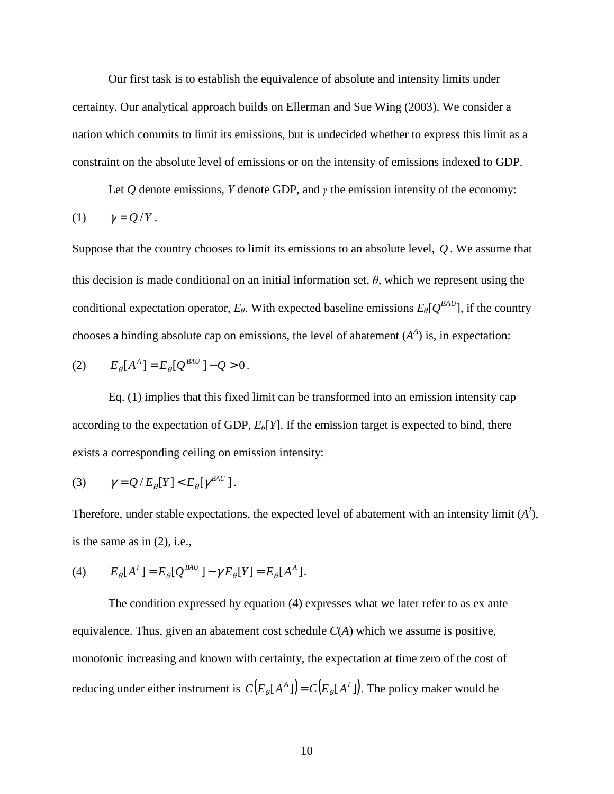Our first task is to establish the equivalence of absolute and intensity limits under certainty. Our analytical approach builds on Ellerman and Sue Wing (2003). We consider a nation which commits to limit its emissions, but is undecided whether to express this limit as a constraint on the absolute level of emissions or on the intensity of emissions indexed to GDP.

Let  $Q$  denote emissions,  $Y$  denote GDP, and  $\gamma$  the emission intensity of the economy:

$$
(1) \qquad \gamma = Q/Y.
$$

Suppose that the country chooses to limit its emissions to an absolute level, *Q* . We assume that this decision is made conditional on an initial information set,  $\theta$ , which we represent using the conditional expectation operator,  $E_{\theta}$ . With expected baseline emissions  $E_{\theta} [Q^{BAU}]$ , if the country chooses a binding absolute cap on emissions, the level of abatement  $(A<sup>A</sup>)$  is, in expectation:

(2) 
$$
E_{\theta}[A^{A}] = E_{\theta}[Q^{BAU}] - Q > 0.
$$

Eq. (1) implies that this fixed limit can be transformed into an emission intensity cap according to the expectation of GDP,  $E_{\theta}[Y]$ . If the emission target is expected to bind, there exists a corresponding ceiling on emission intensity:

$$
(3) \qquad \underline{\gamma} = \underline{Q} / E_{\theta}[Y] < E_{\theta}[\gamma^{BAU}].
$$

Therefore, under stable expectations, the expected level of abatement with an intensity limit  $(A^I)$ , is the same as in (2), i.e.,

(4) 
$$
E_{\theta}[A^{I}] = E_{\theta}[Q^{BAU}] - \gamma E_{\theta}[Y] = E_{\theta}[A^{A}].
$$

The condition expressed by equation (4) expresses what we later refer to as ex ante equivalence. Thus, given an abatement cost schedule *C*(*A*) which we assume is positive, monotonic increasing and known with certainty, the expectation at time zero of the cost of reducing under either instrument is  $C(E_{\theta}[A^A]) = C(E_{\theta}[A^I])$ . The policy maker would be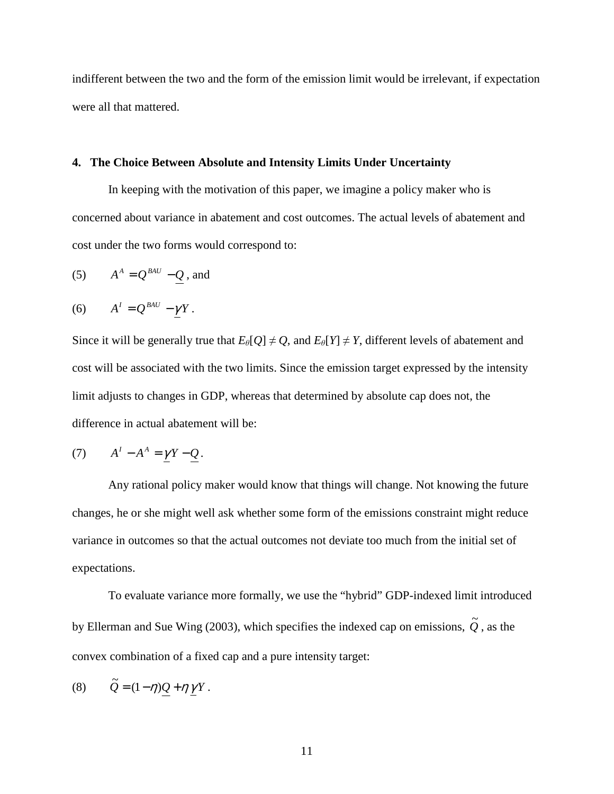indifferent between the two and the form of the emission limit would be irrelevant, if expectation were all that mattered.

## **4. The Choice Between Absolute and Intensity Limits Under Uncertainty**

In keeping with the motivation of this paper, we imagine a policy maker who is concerned about variance in abatement and cost outcomes. The actual levels of abatement and cost under the two forms would correspond to:

(5) 
$$
A^A = Q^{BAU} - Q
$$
, and

$$
(6) \qquad A^I = Q^{BAU} - \underline{\gamma} Y.
$$

Since it will be generally true that  $E_{\theta}[Q] \neq Q$ , and  $E_{\theta}[Y] \neq Y$ , different levels of abatement and cost will be associated with the two limits. Since the emission target expressed by the intensity limit adjusts to changes in GDP, whereas that determined by absolute cap does not, the difference in actual abatement will be:

$$
(7) \qquad A^I - A^A = \gamma Y - Q \, .
$$

Any rational policy maker would know that things will change. Not knowing the future changes, he or she might well ask whether some form of the emissions constraint might reduce variance in outcomes so that the actual outcomes not deviate too much from the initial set of expectations.

To evaluate variance more formally, we use the "hybrid" GDP-indexed limit introduced by Ellerman and Sue Wing (2003), which specifies the indexed cap on emissions,  $\tilde{Q}$  , as the convex combination of a fixed cap and a pure intensity target:

(8) 
$$
\tilde{Q} = (1 - \eta)Q + \eta \gamma Y.
$$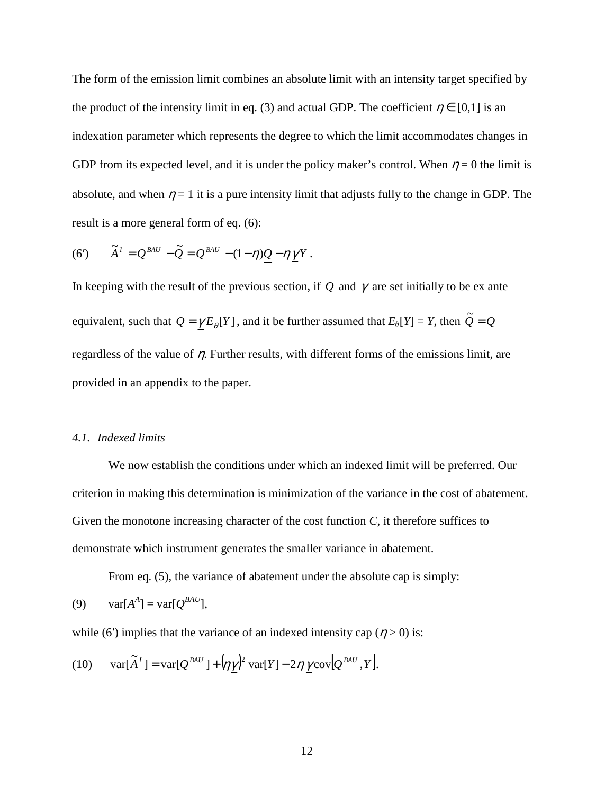The form of the emission limit combines an absolute limit with an intensity target specified by the product of the intensity limit in eq. (3) and actual GDP. The coefficient  $\eta \in [0,1]$  is an indexation parameter which represents the degree to which the limit accommodates changes in GDP from its expected level, and it is under the policy maker's control. When  $\eta = 0$  the limit is absolute, and when  $\eta = 1$  it is a pure intensity limit that adjusts fully to the change in GDP. The result is a more general form of eq. (6):

(6') 
$$
\widetilde{A}^I = Q^{BAU} - \widetilde{Q} = Q^{BAU} - (1 - \eta)Q - \eta \gamma Y.
$$

In keeping with the result of the previous section, if  $Q$  and  $\gamma$  are set initially to be ex ante equivalent, such that  $Q = \gamma E_{\theta}[Y]$ , and it be further assumed that  $E_{\theta}[Y] = Y$ , then  $\widetilde{Q} = Q$ regardless of the value of  $\eta$ . Further results, with different forms of the emissions limit, are provided in an appendix to the paper.

### *4.1. Indexed limits*

We now establish the conditions under which an indexed limit will be preferred. Our criterion in making this determination is minimization of the variance in the cost of abatement. Given the monotone increasing character of the cost function *C*, it therefore suffices to demonstrate which instrument generates the smaller variance in abatement.

From eq. (5), the variance of abatement under the absolute cap is simply: (9)  $var[A^A] = var[Q^{BAU}],$ 

while (6') implies that the variance of an indexed intensity cap ( $\eta$  > 0) is:

(10) 
$$
\text{var}[\tilde{A}^I] = \text{var}[Q^{BAU}] + (\eta \underline{\gamma})^2 \text{var}[Y] - 2\eta \underline{\gamma} \text{cov}[Q^{BAU}, Y].
$$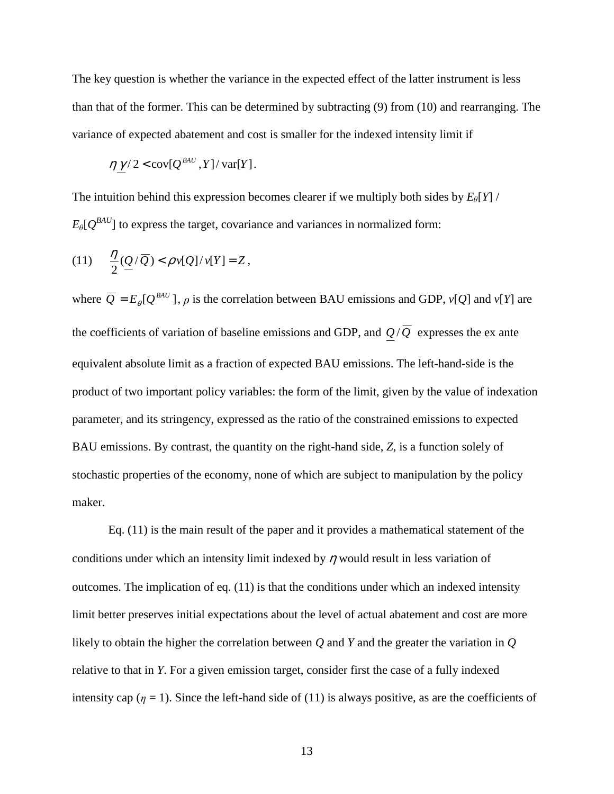The key question is whether the variance in the expected effect of the latter instrument is less than that of the former. This can be determined by subtracting (9) from (10) and rearranging. The variance of expected abatement and cost is smaller for the indexed intensity limit if

$$
\eta \gamma/2 < \mathrm{cov}[Q^{BAU}, Y]/\mathrm{var}[Y].
$$

The intuition behind this expression becomes clearer if we multiply both sides by  $E_{\theta}[Y]$  /  $E_{\theta} [Q^{BAU}]$  to express the target, covariance and variances in normalized form:

$$
(11) \qquad \frac{\eta}{2}(\underline{Q}/\overline{Q}) < \rho \, \nu[\varrho] / \nu[Y] = Z \,,
$$

where  $\overline{Q} = E_{\theta}[Q^{BAU}], \rho$  is the correlation between BAU emissions and GDP,  $v[Q]$  and  $v[Y]$  are the coefficients of variation of baseline emissions and GDP, and  $Q/\overline{Q}$  expresses the ex ante equivalent absolute limit as a fraction of expected BAU emissions. The left-hand-side is the product of two important policy variables: the form of the limit, given by the value of indexation parameter, and its stringency, expressed as the ratio of the constrained emissions to expected BAU emissions. By contrast, the quantity on the right-hand side, *Z*, is a function solely of stochastic properties of the economy, none of which are subject to manipulation by the policy maker.

Eq. (11) is the main result of the paper and it provides a mathematical statement of the conditions under which an intensity limit indexed by  $\eta$  would result in less variation of outcomes. The implication of eq. (11) is that the conditions under which an indexed intensity limit better preserves initial expectations about the level of actual abatement and cost are more likely to obtain the higher the correlation between *Q* and *Y* and the greater the variation in *Q* relative to that in *Y*. For a given emission target, consider first the case of a fully indexed intensity cap ( $\eta = 1$ ). Since the left-hand side of (11) is always positive, as are the coefficients of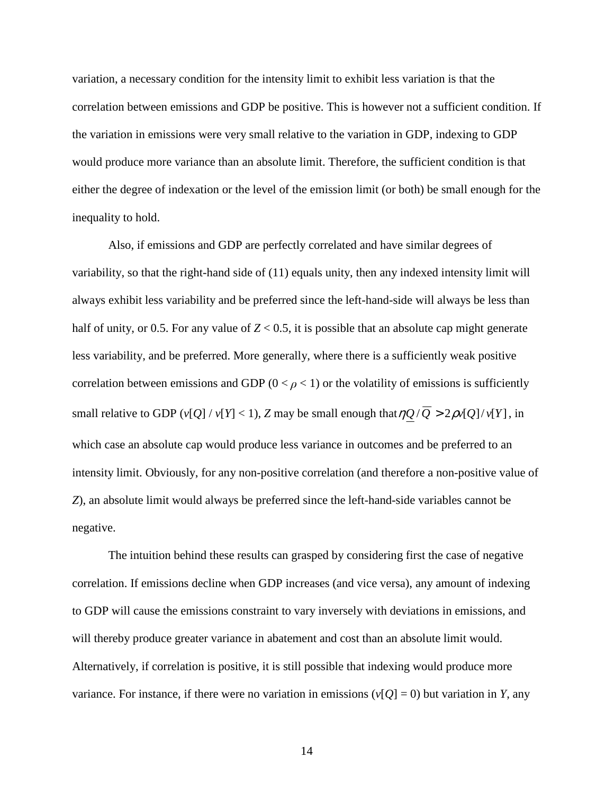variation, a necessary condition for the intensity limit to exhibit less variation is that the correlation between emissions and GDP be positive. This is however not a sufficient condition. If the variation in emissions were very small relative to the variation in GDP, indexing to GDP would produce more variance than an absolute limit. Therefore, the sufficient condition is that either the degree of indexation or the level of the emission limit (or both) be small enough for the inequality to hold.

Also, if emissions and GDP are perfectly correlated and have similar degrees of variability, so that the right-hand side of (11) equals unity, then any indexed intensity limit will always exhibit less variability and be preferred since the left-hand-side will always be less than half of unity, or 0.5. For any value of  $Z < 0.5$ , it is possible that an absolute cap might generate less variability, and be preferred. More generally, where there is a sufficiently weak positive correlation between emissions and GDP ( $0 < \rho < 1$ ) or the volatility of emissions is sufficiently small relative to GDP (*v*[*Q*] / *v*[*Y*] < 1), *Z* may be small enough that  $\eta Q/\overline{Q} > 2\rho v[Q]/v[Y]$ , in which case an absolute cap would produce less variance in outcomes and be preferred to an intensity limit. Obviously, for any non-positive correlation (and therefore a non-positive value of *Z*), an absolute limit would always be preferred since the left-hand-side variables cannot be negative.

The intuition behind these results can grasped by considering first the case of negative correlation. If emissions decline when GDP increases (and vice versa), any amount of indexing to GDP will cause the emissions constraint to vary inversely with deviations in emissions, and will thereby produce greater variance in abatement and cost than an absolute limit would. Alternatively, if correlation is positive, it is still possible that indexing would produce more variance. For instance, if there were no variation in emissions ( $v[Q] = 0$ ) but variation in *Y*, any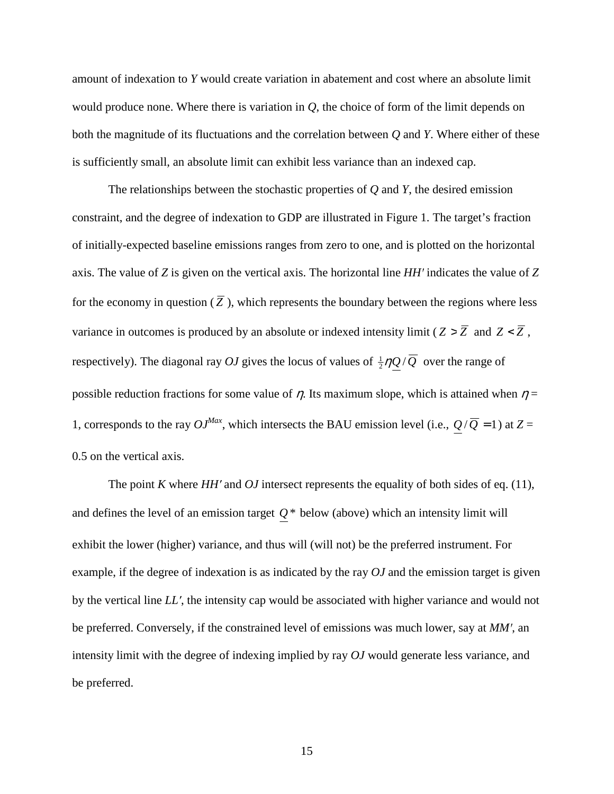amount of indexation to *Y* would create variation in abatement and cost where an absolute limit would produce none. Where there is variation in *Q*, the choice of form of the limit depends on both the magnitude of its fluctuations and the correlation between *Q* and *Y*. Where either of these is sufficiently small, an absolute limit can exhibit less variance than an indexed cap.

The relationships between the stochastic properties of *Q* and *Y*, the desired emission constraint, and the degree of indexation to GDP are illustrated in Figure 1. The target's fraction of initially-expected baseline emissions ranges from zero to one, and is plotted on the horizontal axis. The value of *Z* is given on the vertical axis. The horizontal line *HH* ′ indicates the value of *Z* for the economy in question  $(\overline{Z})$ , which represents the boundary between the regions where less variance in outcomes is produced by an absolute or indexed intensity limit ( $Z > \overline{Z}$  and  $Z < \overline{Z}$ , respectively). The diagonal ray *OJ* gives the locus of values of  $\frac{1}{2}\eta \mathcal{Q}/\mathcal{Q}$  over the range of possible reduction fractions for some value of  $\eta$ . Its maximum slope, which is attained when  $\eta$  = 1, corresponds to the ray  $OJ^{Max}$ , which intersects the BAU emission level (i.e.,  $Q/\overline{Q} = 1$ ) at  $Z =$ 0.5 on the vertical axis.

The point *K* where *HH'* and *OJ* intersect represents the equality of both sides of eq. (11), and defines the level of an emission target *Q* \* below (above) which an intensity limit will exhibit the lower (higher) variance, and thus will (will not) be the preferred instrument. For example, if the degree of indexation is as indicated by the ray *OJ* and the emission target is given by the vertical line *LL* ′, the intensity cap would be associated with higher variance and would not be preferred. Conversely, if the constrained level of emissions was much lower, say at *MM* ′, an intensity limit with the degree of indexing implied by ray *OJ* would generate less variance, and be preferred.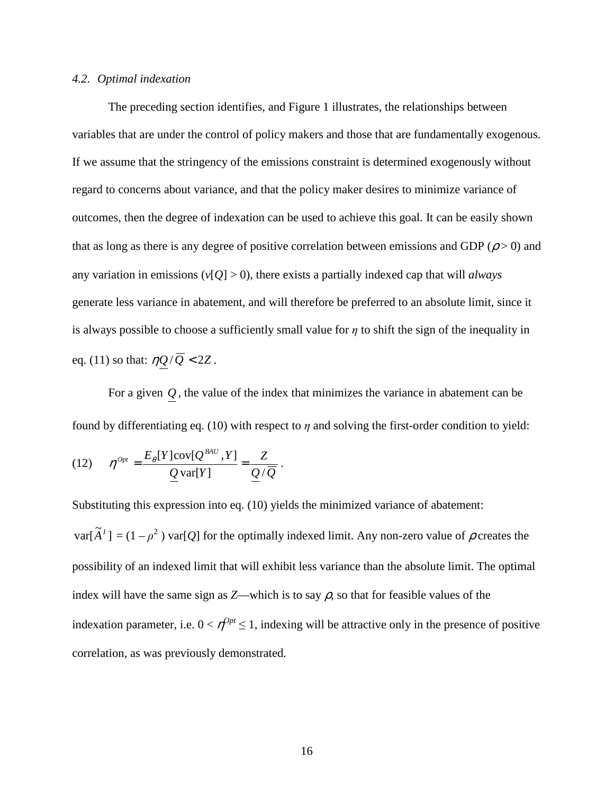## *4.2. Optimal indexation*

The preceding section identifies, and Figure 1 illustrates, the relationships between variables that are under the control of policy makers and those that are fundamentally exogenous. If we assume that the stringency of the emissions constraint is determined exogenously without regard to concerns about variance, and that the policy maker desires to minimize variance of outcomes, then the degree of indexation can be used to achieve this goal. It can be easily shown that as long as there is any degree of positive correlation between emissions and GDP ( $\rho$  > 0) and any variation in emissions ( $v[Q] > 0$ ), there exists a partially indexed cap that will *always* generate less variance in abatement, and will therefore be preferred to an absolute limit, since it is always possible to choose a sufficiently small value for  $\eta$  to shift the sign of the inequality in eq. (11) so that:  $\eta Q/\overline{Q} < 2Z$ .

For a given *Q* , the value of the index that minimizes the variance in abatement can be found by differentiating eq. (10) with respect to  $\eta$  and solving the first-order condition to yield:

(12) 
$$
\eta^{Opt} = \frac{E_{\theta}[Y] \operatorname{cov}[\mathcal{Q}^{BAU}, Y]}{\underline{\mathcal{Q}} \operatorname{var}[Y]} = \frac{Z}{\underline{\mathcal{Q}}/\overline{\mathcal{Q}}}.
$$

Substituting this expression into eq. (10) yields the minimized variance of abatement:  $var[\tilde{A}^I] = (1 - \rho^2) var[Q]$  for the optimally indexed limit. Any non-zero value of  $\rho$  creates the possibility of an indexed limit that will exhibit less variance than the absolute limit. The optimal index will have the same sign as  $Z$ —which is to say  $\rho$ , so that for feasible values of the indexation parameter, i.e.  $0 < \eta^{Opt} \leq 1$ , indexing will be attractive only in the presence of positive correlation, as was previously demonstrated.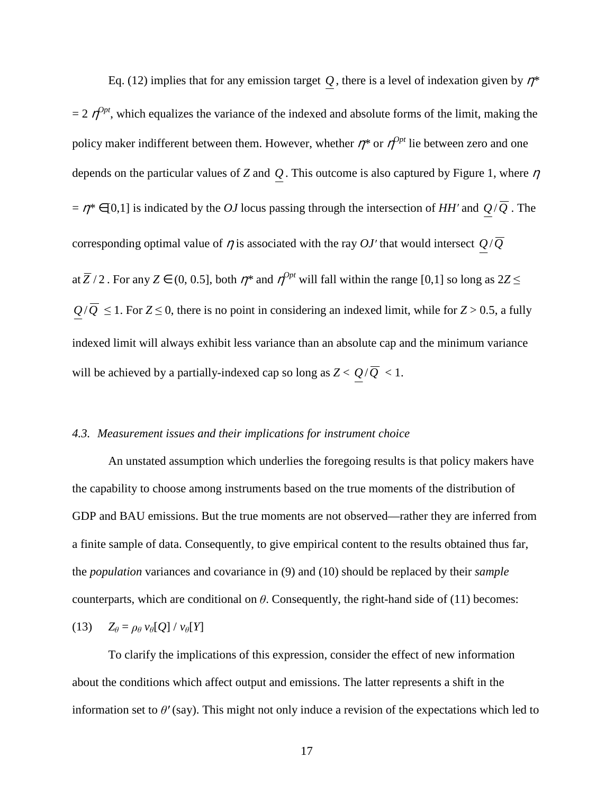Eq. (12) implies that for any emission target  $Q$ , there is a level of indexation given by  $\eta^*$  $= 2 \eta^{Opt}$ , which equalizes the variance of the indexed and absolute forms of the limit, making the policy maker indifferent between them. However, whether  $\eta^*$  or  $\eta^{Opt}$  lie between zero and one depends on the particular values of *Z* and *Q* . This outcome is also captured by Figure 1, where η  $= \eta^* \in [0,1]$  is indicated by the *OJ* locus passing through the intersection of *HH* ' and  $Q/\overline{Q}$ . The corresponding optimal value of  $\eta$  is associated with the ray *OJ'* that would intersect  $Q/\overline{Q}$ at  $\overline{Z}/2$  . For any  $Z \in (0, 0.5]$ , both  $\eta^*$  and  $\eta^{Opt}$  will fall within the range [0,1] so long as  $2Z \leq$  $Q/\overline{Q} \leq 1$ . For  $Z \leq 0$ , there is no point in considering an indexed limit, while for  $Z > 0.5$ , a fully indexed limit will always exhibit less variance than an absolute cap and the minimum variance will be achieved by a partially-indexed cap so long as  $Z < Q/\overline{Q} < 1$ .

#### *4.3. Measurement issues and their implications for instrument choice*

An unstated assumption which underlies the foregoing results is that policy makers have the capability to choose among instruments based on the true moments of the distribution of GDP and BAU emissions. But the true moments are not observed—rather they are inferred from a finite sample of data. Consequently, to give empirical content to the results obtained thus far, the *population* variances and covariance in (9) and (10) should be replaced by their *sample* counterparts, which are conditional on  $\theta$ . Consequently, the right-hand side of (11) becomes:

$$
(13) \t Z_{\theta} = \rho_{\theta} v_{\theta}[Q] / v_{\theta}[Y]
$$

To clarify the implications of this expression, consider the effect of new information about the conditions which affect output and emissions. The latter represents a shift in the information set to  $\theta'$  (say). This might not only induce a revision of the expectations which led to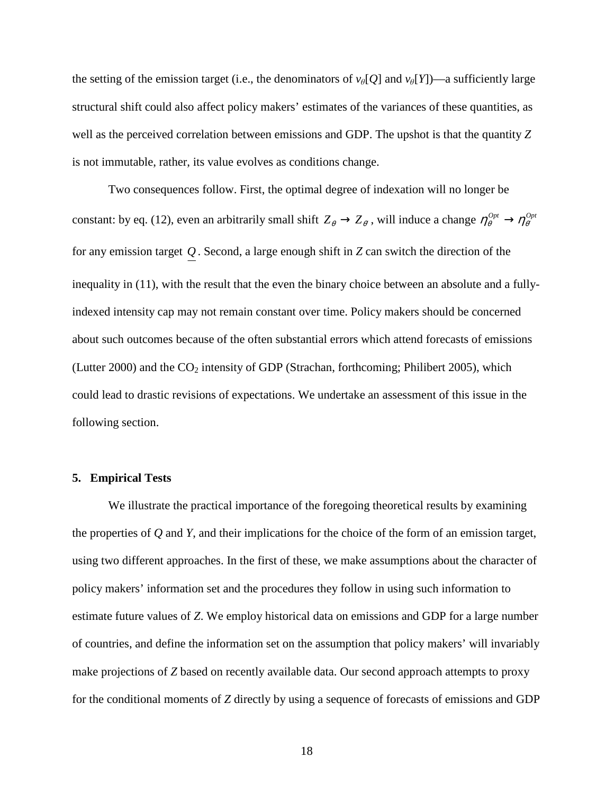the setting of the emission target (i.e., the denominators of  $v_{\theta}[Q]$  and  $v_{\theta}[Y]$ )—a sufficiently large structural shift could also affect policy makers' estimates of the variances of these quantities, as well as the perceived correlation between emissions and GDP. The upshot is that the quantity *Z* is not immutable, rather, its value evolves as conditions change.

Two consequences follow. First, the optimal degree of indexation will no longer be constant: by eq. (12), even an arbitrarily small shift  $Z_{\theta} \to Z_{\theta'}$ , will induce a change  $\eta_{\theta}^{Opt} \to \eta_{\theta'}^{Opt}$ for any emission target *Q* . Second, a large enough shift in *Z* can switch the direction of the inequality in (11), with the result that the even the binary choice between an absolute and a fullyindexed intensity cap may not remain constant over time. Policy makers should be concerned about such outcomes because of the often substantial errors which attend forecasts of emissions (Lutter 2000) and the  $CO<sub>2</sub>$  intensity of GDP (Strachan, forthcoming; Philibert 2005), which could lead to drastic revisions of expectations. We undertake an assessment of this issue in the following section.

## **5. Empirical Tests**

We illustrate the practical importance of the foregoing theoretical results by examining the properties of *Q* and *Y*, and their implications for the choice of the form of an emission target, using two different approaches. In the first of these, we make assumptions about the character of policy makers' information set and the procedures they follow in using such information to estimate future values of *Z*. We employ historical data on emissions and GDP for a large number of countries, and define the information set on the assumption that policy makers' will invariably make projections of *Z* based on recently available data. Our second approach attempts to proxy for the conditional moments of *Z* directly by using a sequence of forecasts of emissions and GDP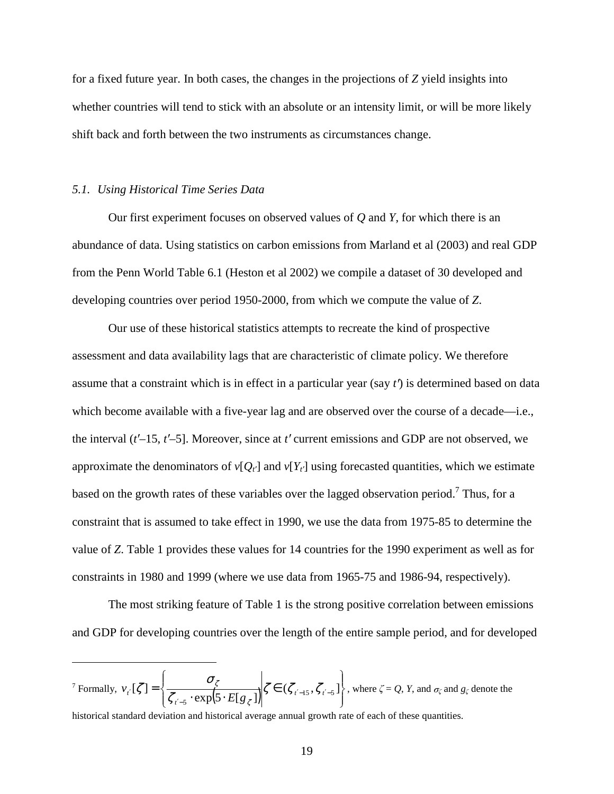for a fixed future year. In both cases, the changes in the projections of *Z* yield insights into whether countries will tend to stick with an absolute or an intensity limit, or will be more likely shift back and forth between the two instruments as circumstances change.

#### *5.1. Using Historical Time Series Data*

 $\overline{a}$ 

Our first experiment focuses on observed values of *Q* and *Y*, for which there is an abundance of data. Using statistics on carbon emissions from Marland et al (2003) and real GDP from the Penn World Table 6.1 (Heston et al 2002) we compile a dataset of 30 developed and developing countries over period 1950-2000, from which we compute the value of *Z*.

Our use of these historical statistics attempts to recreate the kind of prospective assessment and data availability lags that are characteristic of climate policy. We therefore assume that a constraint which is in effect in a particular year (say *t'*) is determined based on data which become available with a five-year lag and are observed over the course of a decade—i.e., the interval (*t*'-15, *t*'-5]. Moreover, since at *t*' current emissions and GDP are not observed, we approximate the denominators of  $v[Q_t]$  and  $v[Y_t]$  using forecasted quantities, which we estimate based on the growth rates of these variables over the lagged observation period.<sup>7</sup> Thus, for a constraint that is assumed to take effect in 1990, we use the data from 1975-85 to determine the value of *Z*. Table 1 provides these values for 14 countries for the 1990 experiment as well as for constraints in 1980 and 1999 (where we use data from 1965-75 and 1986-94, respectively).

The most striking feature of Table 1 is the strong positive correlation between emissions and GDP for developing countries over the length of the entire sample period, and for developed

historical standard deviation and historical average annual growth rate of each of these quantities.

 $T^7$  Formally,  $v_{t'}[\zeta] = \left\{ \frac{\zeta}{\zeta_{t'-5} \cdot \exp(5 \cdot E[g_{\zeta}])} \Big| \zeta \in (\zeta_{t'-15}, \zeta_{t'-5}) \right\}$  $\overline{\phantom{a}}$  $\left\{ \right\}$  $\mathcal{L}$  $\overline{\mathcal{L}}$  $\overline{\phantom{a}}$ ∤  $\int$ ∈  $=\left\{\frac{c_{\zeta}}{\zeta_{t-5}\cdot \exp(5\cdot E[g_{\zeta}])}\right\}\right\}\in (\zeta_{t-15}, \zeta_{t-15})$ ′−  $\mathcal{G}[\zeta] = \left\{ \frac{\zeta}{\zeta} \right\}$  or  $\left[ \zeta \right]$   $\in (\zeta_{i'-15}, \zeta_{i'-5})$  $\exp[5 \cdot E[g_{\zeta}]$  $[\zeta] = \frac{1}{\zeta} \frac{1}{\zeta} \frac{1}{\zeta} \frac{1}{\zeta} \frac{1}{\zeta} \frac{1}{\zeta} [\zeta] \frac{1}{\zeta} [\zeta] \frac{1}{\zeta} [\zeta]$ 5 *t t t*  $\mathcal{E}_t^{\prime}$ **E**  $\left[\mathcal{L}_{t-5} \cdot \exp(5 \cdot E[g])\right]$  $v_{t}[\zeta]=\left\{\frac{\zeta}{\zeta-\zeta-1},\zeta\in(\zeta_{t-1,5},\zeta\right\}$ ζ  $\zeta$ ] =  $\frac{\sigma}{\sigma}$ ζ  $\left\{\frac{\zeta}{\zeta} \right\}$   $\leq \left\{\zeta_{t-1}, \zeta_{t-5}\right\}$ , where  $\zeta = Q$ , *Y*, and  $\sigma_{\zeta}$  and  $g_{\zeta}$  denote the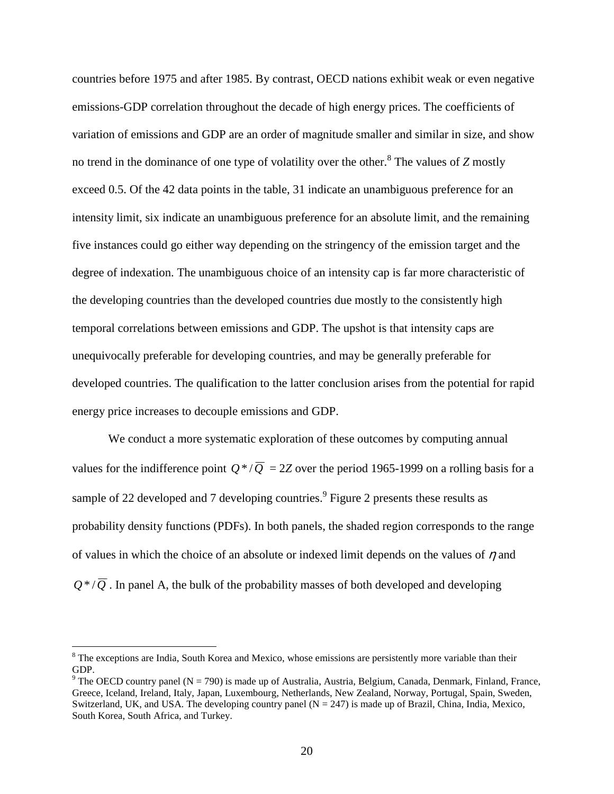countries before 1975 and after 1985. By contrast, OECD nations exhibit weak or even negative emissions-GDP correlation throughout the decade of high energy prices. The coefficients of variation of emissions and GDP are an order of magnitude smaller and similar in size, and show no trend in the dominance of one type of volatility over the other.<sup>8</sup> The values of *Z* mostly exceed 0.5. Of the 42 data points in the table, 31 indicate an unambiguous preference for an intensity limit, six indicate an unambiguous preference for an absolute limit, and the remaining five instances could go either way depending on the stringency of the emission target and the degree of indexation. The unambiguous choice of an intensity cap is far more characteristic of the developing countries than the developed countries due mostly to the consistently high temporal correlations between emissions and GDP. The upshot is that intensity caps are unequivocally preferable for developing countries, and may be generally preferable for developed countries. The qualification to the latter conclusion arises from the potential for rapid energy price increases to decouple emissions and GDP.

We conduct a more systematic exploration of these outcomes by computing annual values for the indifference point  $Q^*/\overline{Q} = 2Z$  over the period 1965-1999 on a rolling basis for a sample of 22 developed and 7 developing countries.  $9$  Figure 2 presents these results as probability density functions (PDFs). In both panels, the shaded region corresponds to the range of values in which the choice of an absolute or indexed limit depends on the values of  $\eta$  and  $Q^*/\overline{Q}$ . In panel A, the bulk of the probability masses of both developed and developing

 $\overline{a}$ 

<sup>&</sup>lt;sup>8</sup> The exceptions are India, South Korea and Mexico, whose emissions are persistently more variable than their GDP.

<sup>&</sup>lt;sup>9</sup> The OECD country panel (N = 790) is made up of Australia, Austria, Belgium, Canada, Denmark, Finland, France, Greece, Iceland, Ireland, Italy, Japan, Luxembourg, Netherlands, New Zealand, Norway, Portugal, Spain, Sweden, Switzerland, UK, and USA. The developing country panel  $(N = 247)$  is made up of Brazil, China, India, Mexico, South Korea, South Africa, and Turkey.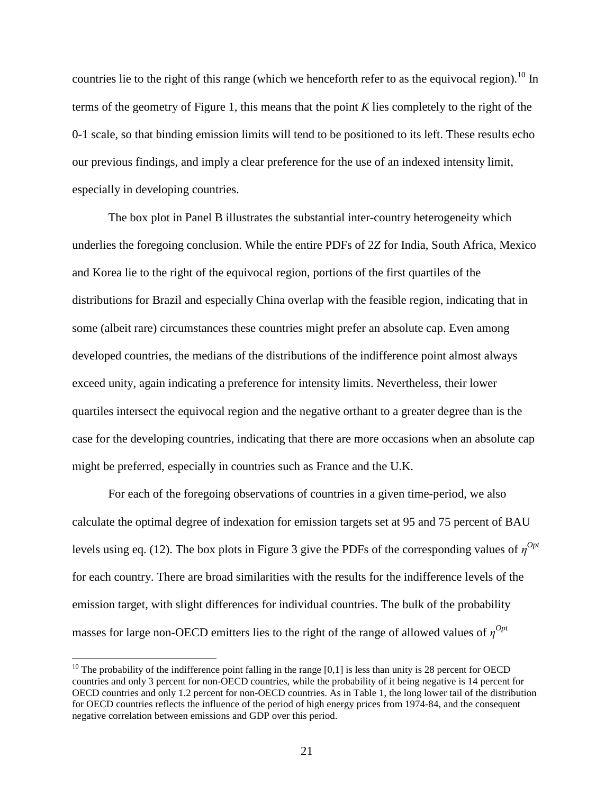countries lie to the right of this range (which we henceforth refer to as the equivocal region).<sup>10</sup> In terms of the geometry of Figure 1, this means that the point *K* lies completely to the right of the 0-1 scale, so that binding emission limits will tend to be positioned to its left. These results echo our previous findings, and imply a clear preference for the use of an indexed intensity limit, especially in developing countries.

The box plot in Panel B illustrates the substantial inter-country heterogeneity which underlies the foregoing conclusion. While the entire PDFs of 2*Z* for India, South Africa, Mexico and Korea lie to the right of the equivocal region, portions of the first quartiles of the distributions for Brazil and especially China overlap with the feasible region, indicating that in some (albeit rare) circumstances these countries might prefer an absolute cap. Even among developed countries, the medians of the distributions of the indifference point almost always exceed unity, again indicating a preference for intensity limits. Nevertheless, their lower quartiles intersect the equivocal region and the negative orthant to a greater degree than is the case for the developing countries, indicating that there are more occasions when an absolute cap might be preferred, especially in countries such as France and the U.K.

For each of the foregoing observations of countries in a given time-period, we also calculate the optimal degree of indexation for emission targets set at 95 and 75 percent of BAU levels using eq. (12). The box plots in Figure 3 give the PDFs of the corresponding values of  $\eta^{Opt}$ for each country. There are broad similarities with the results for the indifference levels of the emission target, with slight differences for individual countries. The bulk of the probability masses for large non-OECD emitters lies to the right of the range of allowed values of  $\eta^{Opt}$ 

 $\overline{a}$ 

<sup>&</sup>lt;sup>10</sup> The probability of the indifference point falling in the range [0,1] is less than unity is 28 percent for OECD countries and only 3 percent for non-OECD countries, while the probability of it being negative is 14 percent for OECD countries and only 1.2 percent for non-OECD countries. As in Table 1, the long lower tail of the distribution for OECD countries reflects the influence of the period of high energy prices from 1974-84, and the consequent negative correlation between emissions and GDP over this period.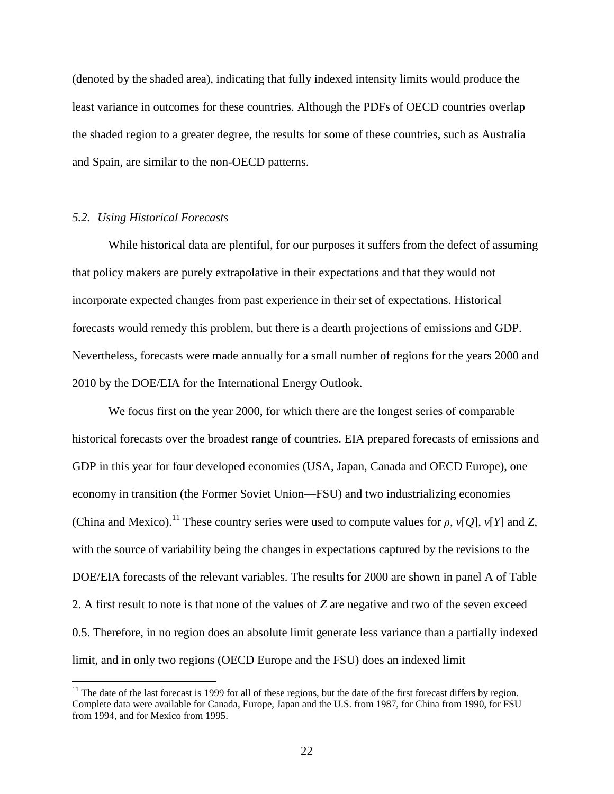(denoted by the shaded area), indicating that fully indexed intensity limits would produce the least variance in outcomes for these countries. Although the PDFs of OECD countries overlap the shaded region to a greater degree, the results for some of these countries, such as Australia and Spain, are similar to the non-OECD patterns.

# *5.2. Using Historical Forecasts*

 $\overline{a}$ 

While historical data are plentiful, for our purposes it suffers from the defect of assuming that policy makers are purely extrapolative in their expectations and that they would not incorporate expected changes from past experience in their set of expectations. Historical forecasts would remedy this problem, but there is a dearth projections of emissions and GDP. Nevertheless, forecasts were made annually for a small number of regions for the years 2000 and 2010 by the DOE/EIA for the International Energy Outlook.

We focus first on the year 2000, for which there are the longest series of comparable historical forecasts over the broadest range of countries. EIA prepared forecasts of emissions and GDP in this year for four developed economies (USA, Japan, Canada and OECD Europe), one economy in transition (the Former Soviet Union—FSU) and two industrializing economies (China and Mexico).<sup>11</sup> These country series were used to compute values for  $\rho$ ,  $v[Q]$ ,  $v[Y]$  and *Z*, with the source of variability being the changes in expectations captured by the revisions to the DOE/EIA forecasts of the relevant variables. The results for 2000 are shown in panel A of Table 2. A first result to note is that none of the values of *Z* are negative and two of the seven exceed 0.5. Therefore, in no region does an absolute limit generate less variance than a partially indexed limit, and in only two regions (OECD Europe and the FSU) does an indexed limit

 $<sup>11</sup>$  The date of the last forecast is 1999 for all of these regions, but the date of the first forecast differs by region.</sup> Complete data were available for Canada, Europe, Japan and the U.S. from 1987, for China from 1990, for FSU from 1994, and for Mexico from 1995.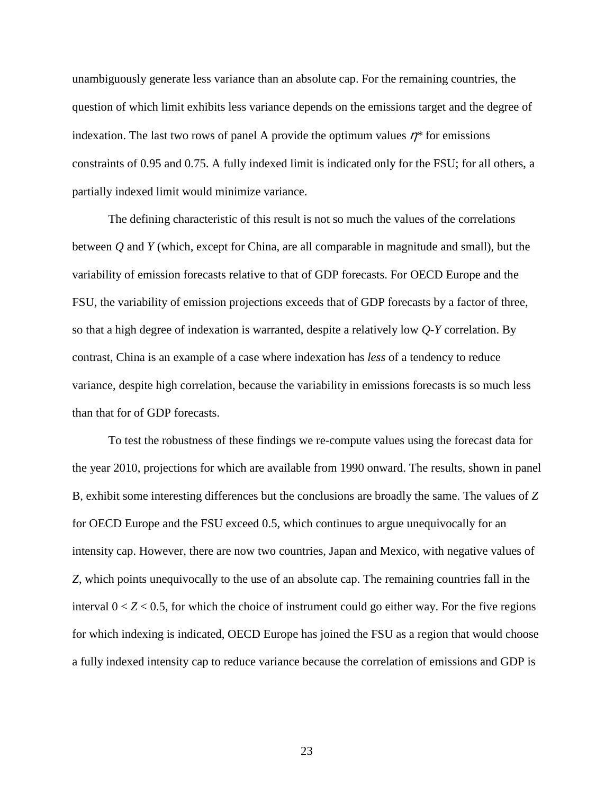unambiguously generate less variance than an absolute cap. For the remaining countries, the question of which limit exhibits less variance depends on the emissions target and the degree of indexation. The last two rows of panel A provide the optimum values  $\eta^*$  for emissions constraints of 0.95 and 0.75. A fully indexed limit is indicated only for the FSU; for all others, a partially indexed limit would minimize variance.

The defining characteristic of this result is not so much the values of the correlations between *Q* and *Y* (which, except for China, are all comparable in magnitude and small), but the variability of emission forecasts relative to that of GDP forecasts. For OECD Europe and the FSU, the variability of emission projections exceeds that of GDP forecasts by a factor of three, so that a high degree of indexation is warranted, despite a relatively low *Q*-*Y* correlation. By contrast, China is an example of a case where indexation has *less* of a tendency to reduce variance, despite high correlation, because the variability in emissions forecasts is so much less than that for of GDP forecasts.

To test the robustness of these findings we re-compute values using the forecast data for the year 2010, projections for which are available from 1990 onward. The results, shown in panel B, exhibit some interesting differences but the conclusions are broadly the same. The values of *Z* for OECD Europe and the FSU exceed 0.5, which continues to argue unequivocally for an intensity cap. However, there are now two countries, Japan and Mexico, with negative values of *Z*, which points unequivocally to the use of an absolute cap. The remaining countries fall in the interval  $0 < Z < 0.5$ , for which the choice of instrument could go either way. For the five regions for which indexing is indicated, OECD Europe has joined the FSU as a region that would choose a fully indexed intensity cap to reduce variance because the correlation of emissions and GDP is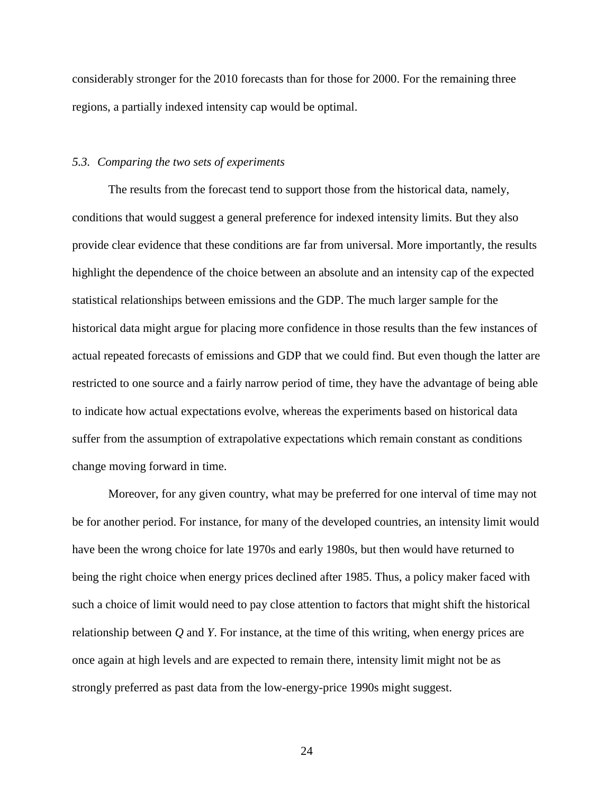considerably stronger for the 2010 forecasts than for those for 2000. For the remaining three regions, a partially indexed intensity cap would be optimal.

## *5.3. Comparing the two sets of experiments*

The results from the forecast tend to support those from the historical data, namely, conditions that would suggest a general preference for indexed intensity limits. But they also provide clear evidence that these conditions are far from universal. More importantly, the results highlight the dependence of the choice between an absolute and an intensity cap of the expected statistical relationships between emissions and the GDP. The much larger sample for the historical data might argue for placing more confidence in those results than the few instances of actual repeated forecasts of emissions and GDP that we could find. But even though the latter are restricted to one source and a fairly narrow period of time, they have the advantage of being able to indicate how actual expectations evolve, whereas the experiments based on historical data suffer from the assumption of extrapolative expectations which remain constant as conditions change moving forward in time.

Moreover, for any given country, what may be preferred for one interval of time may not be for another period. For instance, for many of the developed countries, an intensity limit would have been the wrong choice for late 1970s and early 1980s, but then would have returned to being the right choice when energy prices declined after 1985. Thus, a policy maker faced with such a choice of limit would need to pay close attention to factors that might shift the historical relationship between *Q* and *Y*. For instance, at the time of this writing, when energy prices are once again at high levels and are expected to remain there, intensity limit might not be as strongly preferred as past data from the low-energy-price 1990s might suggest.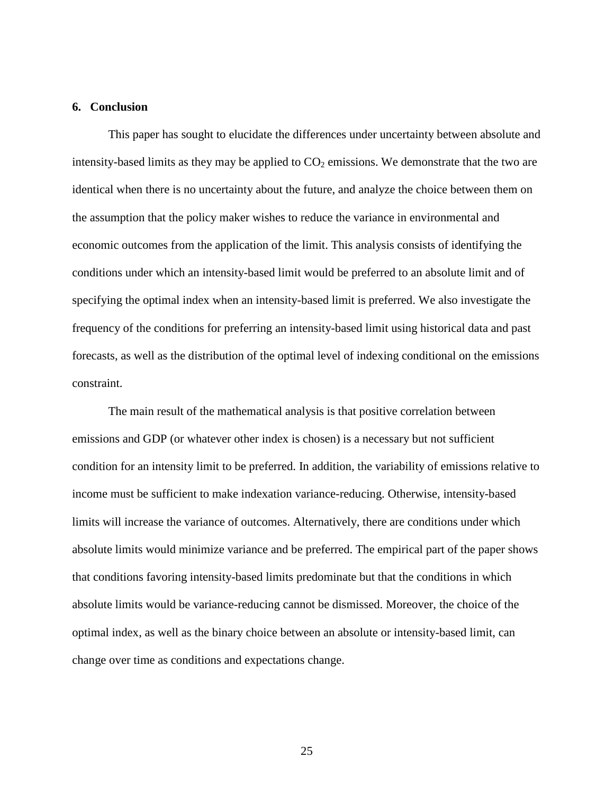## **6. Conclusion**

This paper has sought to elucidate the differences under uncertainty between absolute and intensity-based limits as they may be applied to  $CO<sub>2</sub>$  emissions. We demonstrate that the two are identical when there is no uncertainty about the future, and analyze the choice between them on the assumption that the policy maker wishes to reduce the variance in environmental and economic outcomes from the application of the limit. This analysis consists of identifying the conditions under which an intensity-based limit would be preferred to an absolute limit and of specifying the optimal index when an intensity-based limit is preferred. We also investigate the frequency of the conditions for preferring an intensity-based limit using historical data and past forecasts, as well as the distribution of the optimal level of indexing conditional on the emissions constraint.

The main result of the mathematical analysis is that positive correlation between emissions and GDP (or whatever other index is chosen) is a necessary but not sufficient condition for an intensity limit to be preferred. In addition, the variability of emissions relative to income must be sufficient to make indexation variance-reducing. Otherwise, intensity-based limits will increase the variance of outcomes. Alternatively, there are conditions under which absolute limits would minimize variance and be preferred. The empirical part of the paper shows that conditions favoring intensity-based limits predominate but that the conditions in which absolute limits would be variance-reducing cannot be dismissed. Moreover, the choice of the optimal index, as well as the binary choice between an absolute or intensity-based limit, can change over time as conditions and expectations change.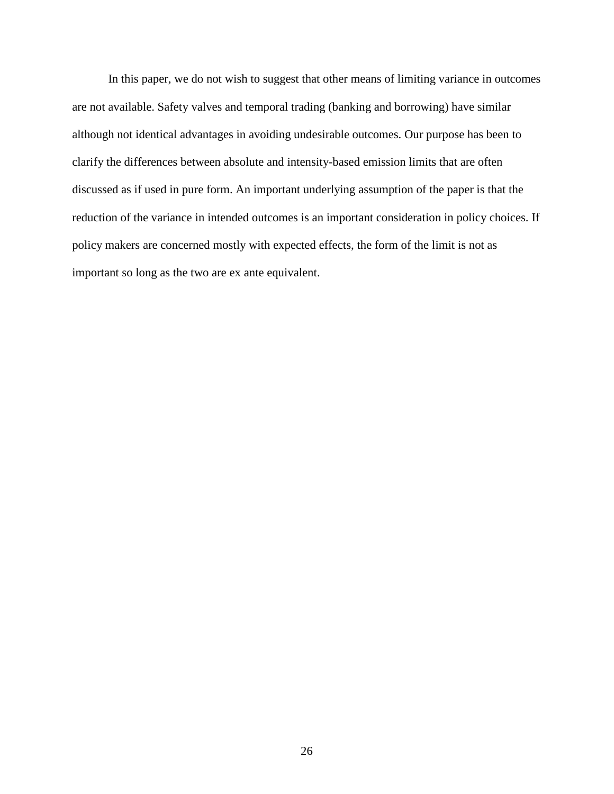In this paper, we do not wish to suggest that other means of limiting variance in outcomes are not available. Safety valves and temporal trading (banking and borrowing) have similar although not identical advantages in avoiding undesirable outcomes. Our purpose has been to clarify the differences between absolute and intensity-based emission limits that are often discussed as if used in pure form. An important underlying assumption of the paper is that the reduction of the variance in intended outcomes is an important consideration in policy choices. If policy makers are concerned mostly with expected effects, the form of the limit is not as important so long as the two are ex ante equivalent.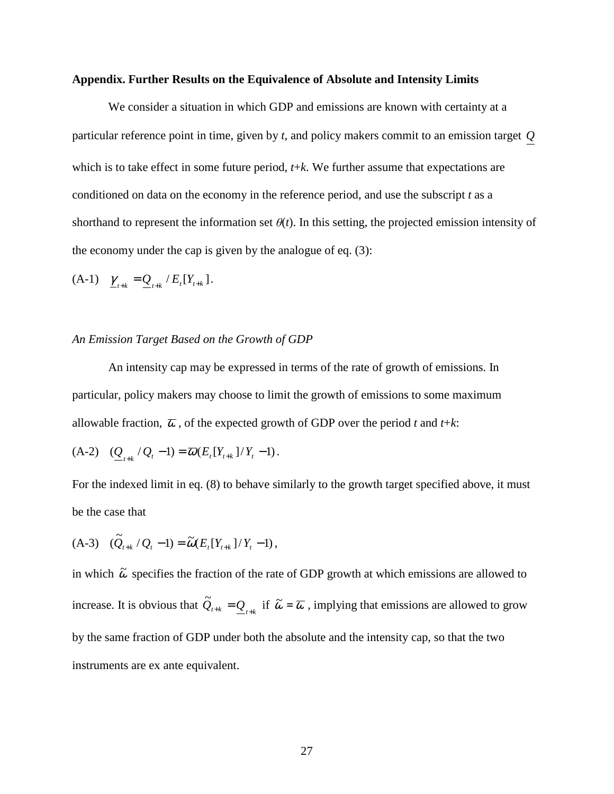#### **Appendix. Further Results on the Equivalence of Absolute and Intensity Limits**

We consider a situation in which GDP and emissions are known with certainty at a particular reference point in time, given by *t*, and policy makers commit to an emission target *Q* which is to take effect in some future period, *t*+*k*. We further assume that expectations are conditioned on data on the economy in the reference period, and use the subscript *t* as a shorthand to represent the information set  $\theta(t)$ . In this setting, the projected emission intensity of the economy under the cap is given by the analogue of eq. (3):

(A-1) 
$$
\underline{\gamma}_{t+k} = \underline{Q}_{t+k} / E_t[Y_{t+k}].
$$

#### *An Emission Target Based on the Growth of GDP*

An intensity cap may be expressed in terms of the rate of growth of emissions. In particular, policy makers may choose to limit the growth of emissions to some maximum allowable fraction,  $\overline{\omega}$ , of the expected growth of GDP over the period *t* and *t*+*k*:

$$
(A-2) \quad (\underline{Q}_{t+k} / Q_t - 1) = \overline{\omega}(E_t[Y_{t+k}]/Y_t - 1).
$$

For the indexed limit in eq. (8) to behave similarly to the growth target specified above, it must be the case that

(A-3) 
$$
(\tilde{Q}_{t+k} / Q_t - 1) = \tilde{\omega}(E_t[Y_{t+k}]/Y_t - 1),
$$

in which  $\tilde{\omega}$  specifies the fraction of the rate of GDP growth at which emissions are allowed to increase. It is obvious that  $\tilde{Q}_{t+k} = Q_{t+k}$  if  $\tilde{\omega} = \overline{\omega}$ , implying that emissions are allowed to grow by the same fraction of GDP under both the absolute and the intensity cap, so that the two instruments are ex ante equivalent.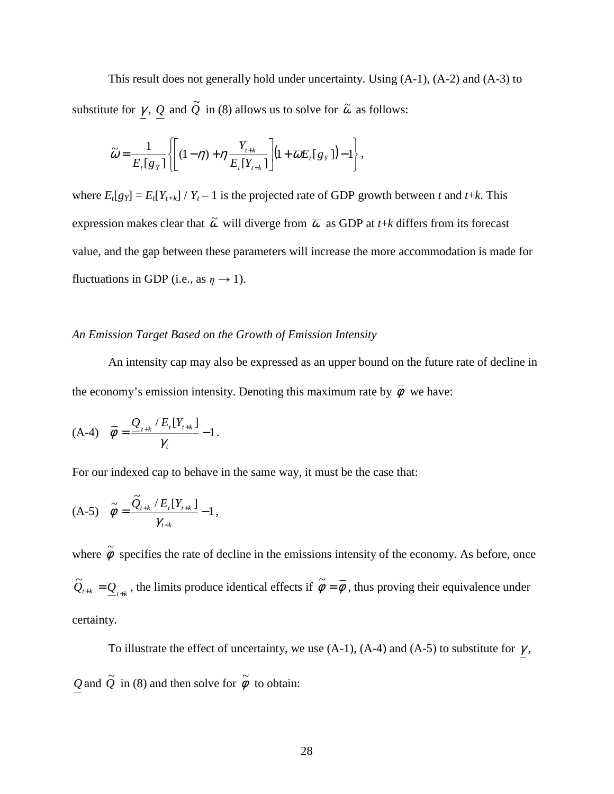This result does not generally hold under uncertainty. Using (A-1), (A-2) and (A-3) to substitute for  $\gamma$ , Q and  $\tilde{Q}$  in (8) allows us to solve for  $\tilde{\omega}$  as follows:

$$
\widetilde{\omega} = \frac{1}{E_t[g_Y]} \left\{ \left[ (1-\eta) + \eta \frac{Y_{t+k}}{E_t[Y_{t+k}]} \right] \left( 1 + \overline{\omega} E_t[g_Y] \right) - 1 \right\},\,
$$

where  $E_t[g_Y] = E_t[Y_{t+k}] / Y_t - 1$  is the projected rate of GDP growth between *t* and *t*+*k*. This expression makes clear that  $\tilde{\omega}$  will diverge from  $\overline{\omega}$  as GDP at *t*+*k* differs from its forecast value, and the gap between these parameters will increase the more accommodation is made for fluctuations in GDP (i.e., as  $\eta \rightarrow 1$ ).

## *An Emission Target Based on the Growth of Emission Intensity*

An intensity cap may also be expressed as an upper bound on the future rate of decline in the economy's emission intensity. Denoting this maximum rate by  $\overline{\phi}$  we have:

(A-4) 
$$
\bar{\phi} = \frac{Q_{t+k} / E_t[Y_{t+k}]}{\gamma_t} - 1.
$$

For our indexed cap to behave in the same way, it must be the case that:

$$
(A-5) \quad \widetilde{\phi} = \frac{\widetilde{Q}_{t+k} / E_t[Y_{t+k}]}{\gamma_{t+k}} - 1,
$$

where  $\tilde{\phi}$  specifies the rate of decline in the emissions intensity of the economy. As before, once  $\tilde{Q}_{t+k} = \underline{Q}_{t+k}$ , the limits produce identical effects if  $\tilde{\phi} = \overline{\phi}$ , thus proving their equivalence under certainty.

To illustrate the effect of uncertainty, we use (A-1), (A-4) and (A-5) to substitute for  $\gamma$ , *Q* and  $\tilde{Q}$  in (8) and then solve for  $\tilde{\phi}$  to obtain: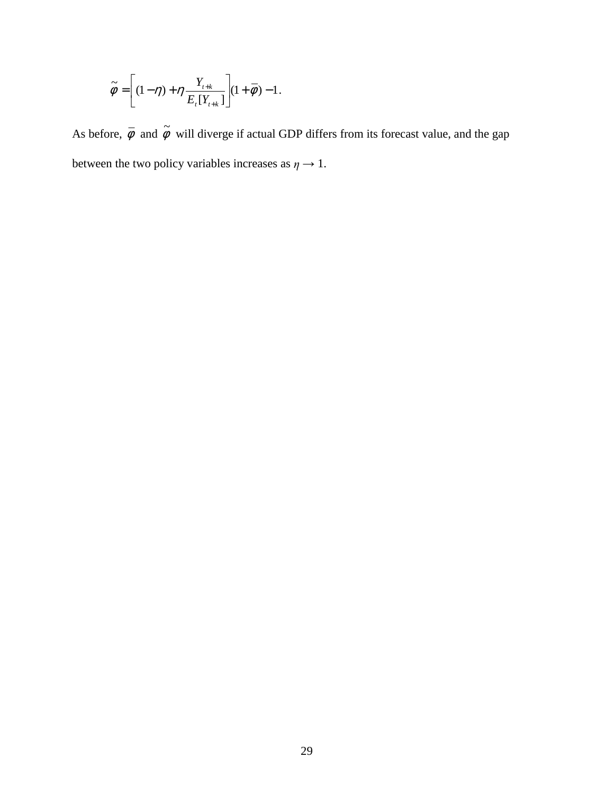$$
\widetilde{\phi} = \left[ (1 - \eta) + \eta \frac{Y_{t+k}}{E_t[Y_{t+k}]} \right] (1 + \overline{\phi}) - 1.
$$

As before,  $\overline{\phi}$  and  $\widetilde{\phi}$  will diverge if actual GDP differs from its forecast value, and the gap between the two policy variables increases as  $\eta \rightarrow 1$ .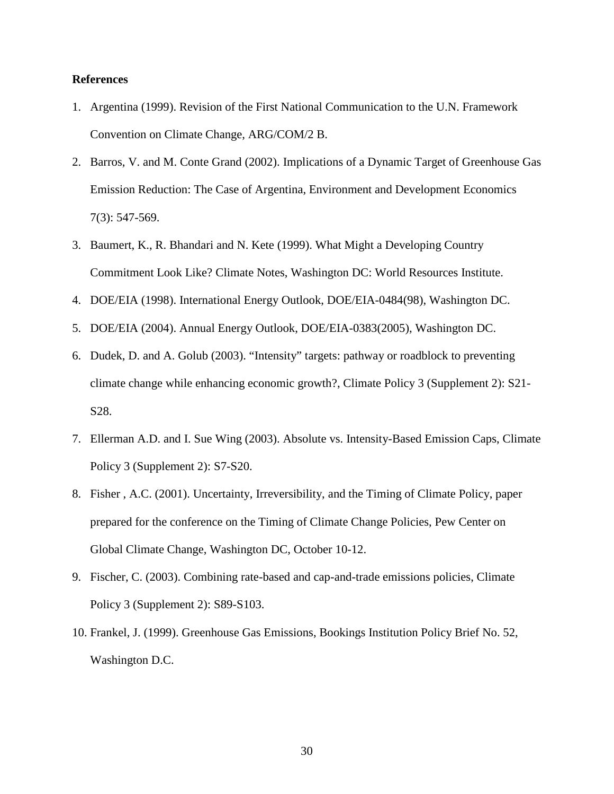# **References**

- 1. Argentina (1999). Revision of the First National Communication to the U.N. Framework Convention on Climate Change, ARG/COM/2 B.
- 2. Barros, V. and M. Conte Grand (2002). Implications of a Dynamic Target of Greenhouse Gas Emission Reduction: The Case of Argentina, Environment and Development Economics 7(3): 547-569.
- 3. Baumert, K., R. Bhandari and N. Kete (1999). What Might a Developing Country Commitment Look Like? Climate Notes, Washington DC: World Resources Institute.
- 4. DOE/EIA (1998). International Energy Outlook, DOE/EIA-0484(98), Washington DC.
- 5. DOE/EIA (2004). Annual Energy Outlook, DOE/EIA-0383(2005), Washington DC.
- 6. Dudek, D. and A. Golub (2003). "Intensity" targets: pathway or roadblock to preventing climate change while enhancing economic growth?, Climate Policy 3 (Supplement 2): S21- S28.
- 7. Ellerman A.D. and I. Sue Wing (2003). Absolute vs. Intensity-Based Emission Caps, Climate Policy 3 (Supplement 2): S7-S20.
- 8. Fisher , A.C. (2001). Uncertainty, Irreversibility, and the Timing of Climate Policy, paper prepared for the conference on the Timing of Climate Change Policies, Pew Center on Global Climate Change, Washington DC, October 10-12.
- 9. Fischer, C. (2003). Combining rate-based and cap-and-trade emissions policies, Climate Policy 3 (Supplement 2): S89-S103.
- 10. Frankel, J. (1999). Greenhouse Gas Emissions, Bookings Institution Policy Brief No. 52, Washington D.C.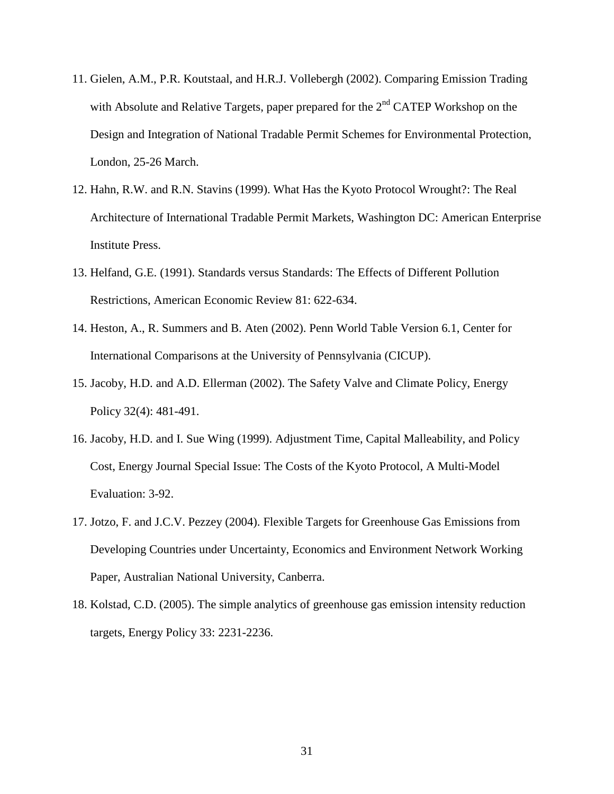- 11. Gielen, A.M., P.R. Koutstaal, and H.R.J. Vollebergh (2002). Comparing Emission Trading with Absolute and Relative Targets, paper prepared for the  $2<sup>nd</sup>$  CATEP Workshop on the Design and Integration of National Tradable Permit Schemes for Environmental Protection, London, 25-26 March.
- 12. Hahn, R.W. and R.N. Stavins (1999). What Has the Kyoto Protocol Wrought?: The Real Architecture of International Tradable Permit Markets, Washington DC: American Enterprise Institute Press.
- 13. Helfand, G.E. (1991). Standards versus Standards: The Effects of Different Pollution Restrictions, American Economic Review 81: 622-634.
- 14. Heston, A., R. Summers and B. Aten (2002). Penn World Table Version 6.1, Center for International Comparisons at the University of Pennsylvania (CICUP).
- 15. Jacoby, H.D. and A.D. Ellerman (2002). The Safety Valve and Climate Policy, Energy Policy 32(4): 481-491.
- 16. Jacoby, H.D. and I. Sue Wing (1999). Adjustment Time, Capital Malleability, and Policy Cost, Energy Journal Special Issue: The Costs of the Kyoto Protocol, A Multi-Model Evaluation: 3-92.
- 17. Jotzo, F. and J.C.V. Pezzey (2004). Flexible Targets for Greenhouse Gas Emissions from Developing Countries under Uncertainty, Economics and Environment Network Working Paper, Australian National University, Canberra.
- 18. Kolstad, C.D. (2005). The simple analytics of greenhouse gas emission intensity reduction targets, Energy Policy 33: 2231-2236.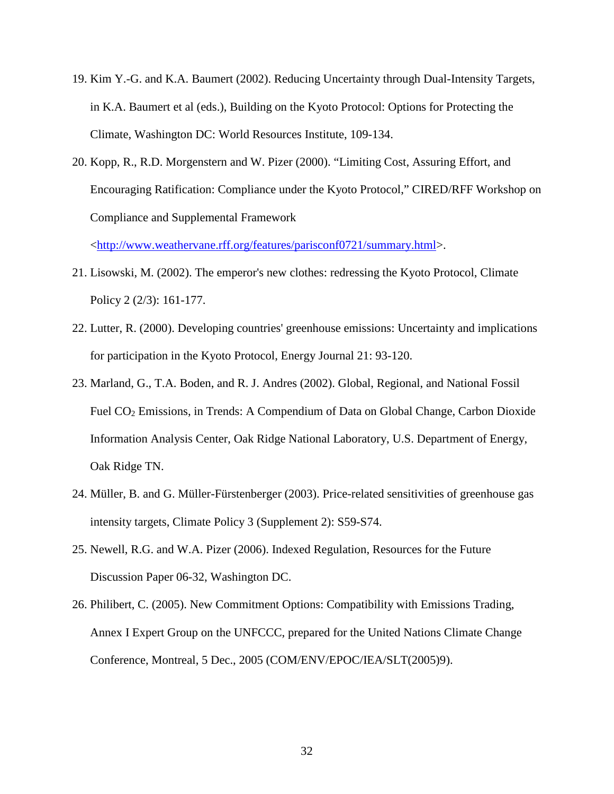- 19. Kim Y.-G. and K.A. Baumert (2002). Reducing Uncertainty through Dual-Intensity Targets, in K.A. Baumert et al (eds.), Building on the Kyoto Protocol: Options for Protecting the Climate, Washington DC: World Resources Institute, 109-134.
- 20. Kopp, R., R.D. Morgenstern and W. Pizer (2000). "Limiting Cost, Assuring Effort, and Encouraging Ratification: Compliance under the Kyoto Protocol," CIRED/RFF Workshop on Compliance and Supplemental Framework

<http://www.weathervane.rff.org/features/parisconf0721/summary.html>.

- 21. Lisowski, M. (2002). The emperor's new clothes: redressing the Kyoto Protocol, Climate Policy 2 (2/3): 161-177.
- 22. Lutter, R. (2000). Developing countries' greenhouse emissions: Uncertainty and implications for participation in the Kyoto Protocol, Energy Journal 21: 93-120.
- 23. Marland, G., T.A. Boden, and R. J. Andres (2002). Global, Regional, and National Fossil Fuel CO<sub>2</sub> Emissions, in Trends: A Compendium of Data on Global Change, Carbon Dioxide Information Analysis Center, Oak Ridge National Laboratory, U.S. Department of Energy, Oak Ridge TN.
- 24. Müller, B. and G. Müller-Fürstenberger (2003). Price-related sensitivities of greenhouse gas intensity targets, Climate Policy 3 (Supplement 2): S59-S74.
- 25. Newell, R.G. and W.A. Pizer (2006). Indexed Regulation, Resources for the Future Discussion Paper 06-32, Washington DC.
- 26. Philibert, C. (2005). New Commitment Options: Compatibility with Emissions Trading, Annex I Expert Group on the UNFCCC, prepared for the United Nations Climate Change Conference, Montreal, 5 Dec., 2005 (COM/ENV/EPOC/IEA/SLT(2005)9).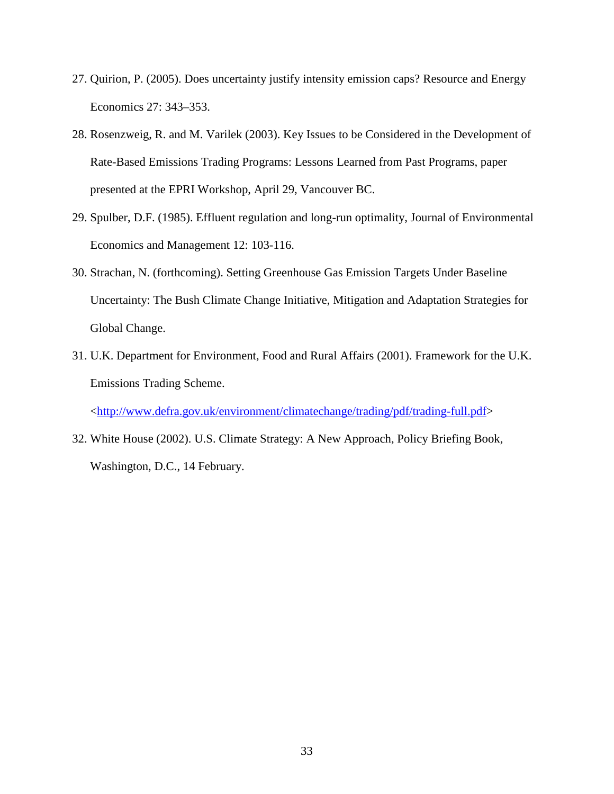- 27. Quirion, P. (2005). Does uncertainty justify intensity emission caps? Resource and Energy Economics 27: 343–353.
- 28. Rosenzweig, R. and M. Varilek (2003). Key Issues to be Considered in the Development of Rate-Based Emissions Trading Programs: Lessons Learned from Past Programs, paper presented at the EPRI Workshop, April 29, Vancouver BC.
- 29. Spulber, D.F. (1985). Effluent regulation and long-run optimality, Journal of Environmental Economics and Management 12: 103-116.
- 30. Strachan, N. (forthcoming). Setting Greenhouse Gas Emission Targets Under Baseline Uncertainty: The Bush Climate Change Initiative, Mitigation and Adaptation Strategies for Global Change.
- 31. U.K. Department for Environment, Food and Rural Affairs (2001). Framework for the U.K. Emissions Trading Scheme.

<http://www.defra.gov.uk/environment/climatechange/trading/pdf/trading-full.pdf>

32. White House (2002). U.S. Climate Strategy: A New Approach, Policy Briefing Book, Washington, D.C., 14 February.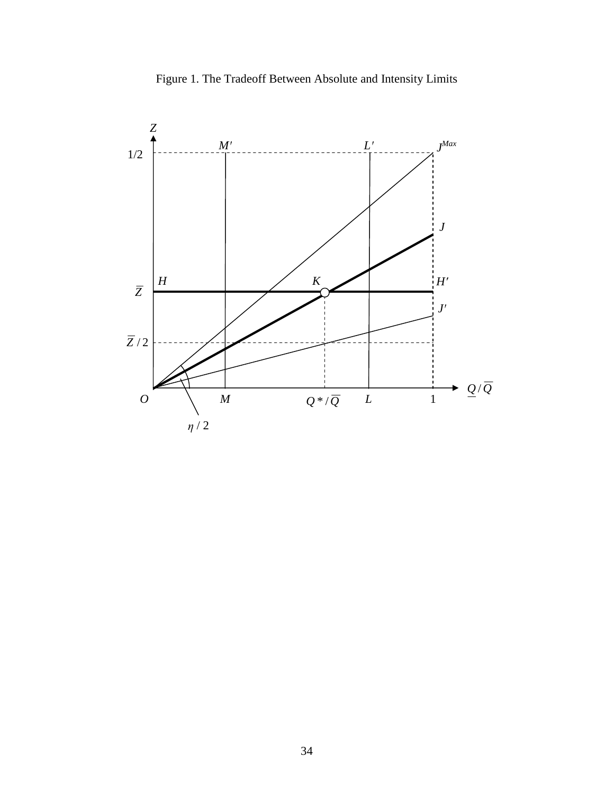

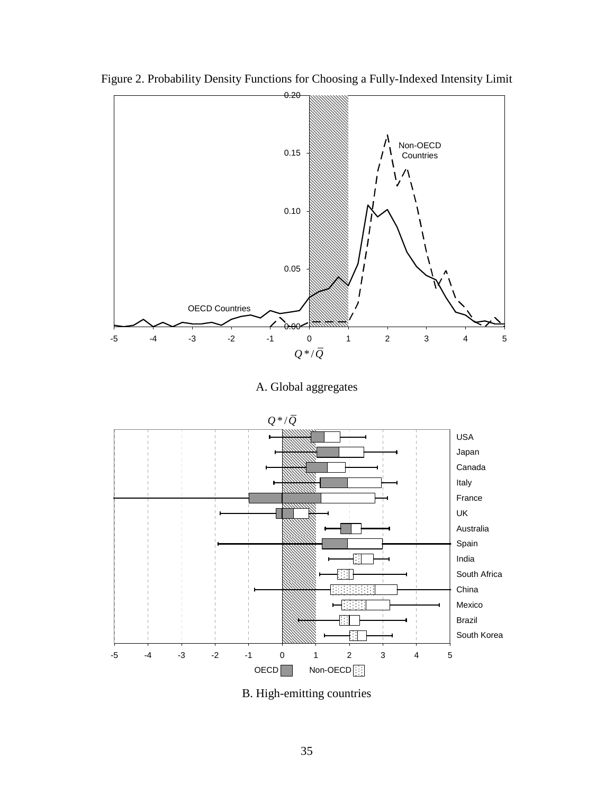

Figure 2. Probability Density Functions for Choosing a Fully-Indexed Intensity Limit





B. High-emitting countries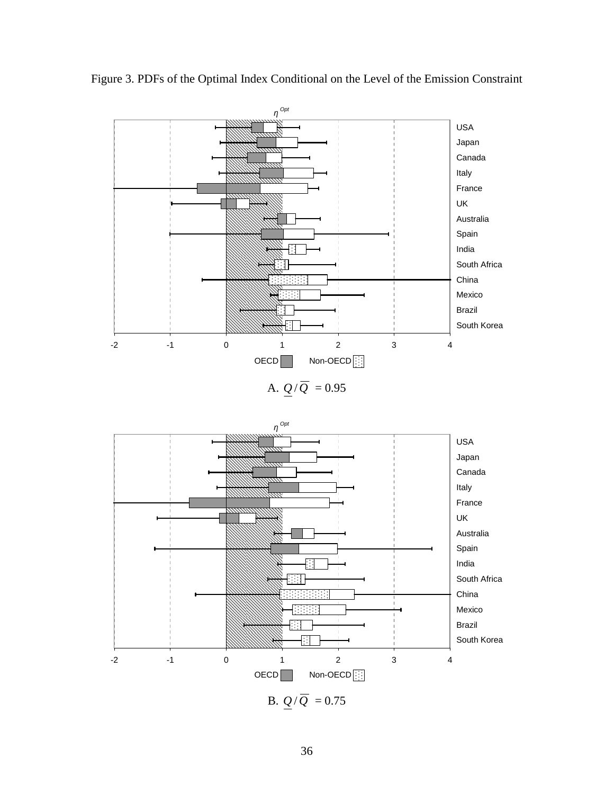

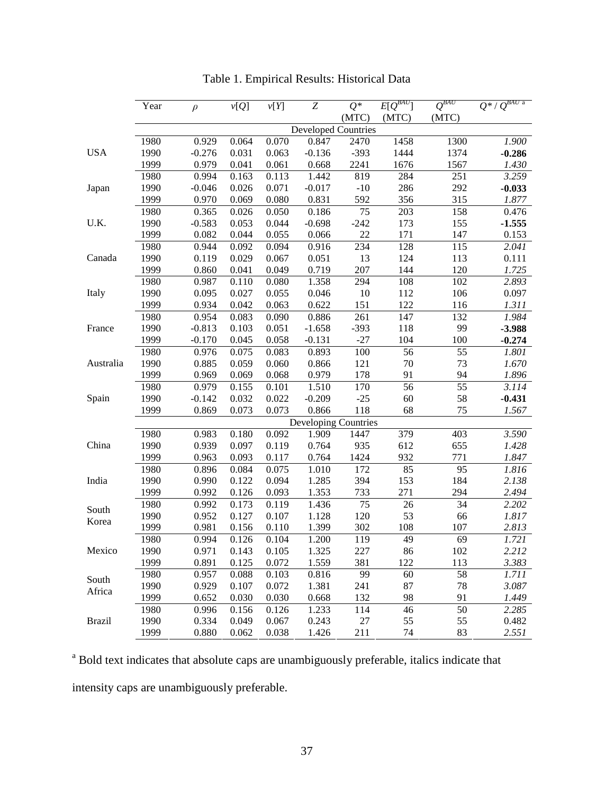| (MTC)<br>(MTC)<br>(MTC)<br><b>Developed Countries</b><br>1980<br>0.929<br>0.064<br>0.070<br>0.847<br>2470<br>1458<br>1300<br>1.900<br><b>USA</b><br>1990<br>$-0.276$<br>0.031<br>$-0.136$<br>$-393$<br>1444<br>1374<br>0.063<br>$-0.286$<br>1999<br>0.979<br>0.041<br>0.061<br>0.668<br>2241<br>1676<br>1567<br>1.430<br>1980<br>819<br>251<br>3.259<br>0.994<br>0.163<br>0.113<br>1.442<br>284<br>1990<br>$-0.046$<br>0.026<br>0.071<br>$-0.017$<br>$-10$<br>286<br>292<br>$-0.033$<br>Japan<br>1999<br>0.069<br>0.080<br>592<br>356<br>315<br>0.970<br>0.831<br>1.877<br>1980<br>0.365<br>0.026<br>0.050<br>0.186<br>75<br>203<br>158<br>0.476<br>U.K.<br>173<br>$-1.555$<br>1990<br>$-0.583$<br>0.053<br>0.044<br>$-0.698$<br>$-242$<br>155<br>1999<br>0.082<br>0.044<br>0.055<br>22<br>171<br>147<br>0.153<br>0.066<br>1980<br>128<br>2.041<br>0.944<br>0.092<br>0.094<br>0.916<br>234<br>115<br>13<br>124<br>Canada<br>1990<br>0.119<br>0.029<br>0.067<br>0.051<br>113<br>0.111<br>207<br>1.725<br>1999<br>0.860<br>0.041<br>0.049<br>0.719<br>144<br>120<br>2.893<br>1980<br>1.358<br>108<br>102<br>0.987<br>0.110<br>0.080<br>294<br>1990<br>0.095<br>112<br>0.097<br>Italy<br>0.027<br>0.055<br>0.046<br>10<br>106<br>151<br>122<br>1999<br>0.934<br>0.042<br>0.063<br>0.622<br>1.311<br>116<br>261<br>1.984<br>1980<br>0.954<br>0.083<br>0.090<br>0.886<br>147<br>132<br>99<br>$-3.988$<br>France<br>1990<br>$-0.813$<br>0.103<br>0.051<br>$-1.658$<br>$-393$<br>118<br>1999<br>$-0.170$<br>0.045<br>0.058<br>$-0.131$<br>$-27$<br>104<br>100<br>$-0.274$<br>1980<br>0.075<br>56<br>55<br>1.801<br>0.976<br>0.083<br>0.893<br>100<br>Australia<br>1990<br>0.885<br>0.059<br>0.060<br>0.866<br>121<br>70<br>73<br>1.670<br>94<br>1999<br>0.969<br>0.069<br>0.068<br>0.979<br>178<br>91<br>1.896<br>55<br>56<br>1980<br>0.979<br>0.155<br>0.101<br>1.510<br>170<br>3.114<br>58<br>1990<br>$-0.142$<br>0.032<br>0.022<br>$-0.209$<br>$-25$<br>60<br>$-0.431$<br>Spain |                | Year | $\rho$ | v[Q] | v[Y] | $\boldsymbol{Z}$ | $Q^*$ | $E[Q^{BAU}]$ | $Q^{BAU}$ | $Q^* / \overline{Q^{\textit{BAU a}}}$ |
|-----------------------------------------------------------------------------------------------------------------------------------------------------------------------------------------------------------------------------------------------------------------------------------------------------------------------------------------------------------------------------------------------------------------------------------------------------------------------------------------------------------------------------------------------------------------------------------------------------------------------------------------------------------------------------------------------------------------------------------------------------------------------------------------------------------------------------------------------------------------------------------------------------------------------------------------------------------------------------------------------------------------------------------------------------------------------------------------------------------------------------------------------------------------------------------------------------------------------------------------------------------------------------------------------------------------------------------------------------------------------------------------------------------------------------------------------------------------------------------------------------------------------------------------------------------------------------------------------------------------------------------------------------------------------------------------------------------------------------------------------------------------------------------------------------------------------------------------------------------------------------------------------------------------------------------------------------------------------------|----------------|------|--------|------|------|------------------|-------|--------------|-----------|---------------------------------------|
|                                                                                                                                                                                                                                                                                                                                                                                                                                                                                                                                                                                                                                                                                                                                                                                                                                                                                                                                                                                                                                                                                                                                                                                                                                                                                                                                                                                                                                                                                                                                                                                                                                                                                                                                                                                                                                                                                                                                                                             |                |      |        |      |      |                  |       |              |           |                                       |
|                                                                                                                                                                                                                                                                                                                                                                                                                                                                                                                                                                                                                                                                                                                                                                                                                                                                                                                                                                                                                                                                                                                                                                                                                                                                                                                                                                                                                                                                                                                                                                                                                                                                                                                                                                                                                                                                                                                                                                             |                |      |        |      |      |                  |       |              |           |                                       |
|                                                                                                                                                                                                                                                                                                                                                                                                                                                                                                                                                                                                                                                                                                                                                                                                                                                                                                                                                                                                                                                                                                                                                                                                                                                                                                                                                                                                                                                                                                                                                                                                                                                                                                                                                                                                                                                                                                                                                                             |                |      |        |      |      |                  |       |              |           |                                       |
|                                                                                                                                                                                                                                                                                                                                                                                                                                                                                                                                                                                                                                                                                                                                                                                                                                                                                                                                                                                                                                                                                                                                                                                                                                                                                                                                                                                                                                                                                                                                                                                                                                                                                                                                                                                                                                                                                                                                                                             |                |      |        |      |      |                  |       |              |           |                                       |
|                                                                                                                                                                                                                                                                                                                                                                                                                                                                                                                                                                                                                                                                                                                                                                                                                                                                                                                                                                                                                                                                                                                                                                                                                                                                                                                                                                                                                                                                                                                                                                                                                                                                                                                                                                                                                                                                                                                                                                             |                |      |        |      |      |                  |       |              |           |                                       |
|                                                                                                                                                                                                                                                                                                                                                                                                                                                                                                                                                                                                                                                                                                                                                                                                                                                                                                                                                                                                                                                                                                                                                                                                                                                                                                                                                                                                                                                                                                                                                                                                                                                                                                                                                                                                                                                                                                                                                                             |                |      |        |      |      |                  |       |              |           |                                       |
|                                                                                                                                                                                                                                                                                                                                                                                                                                                                                                                                                                                                                                                                                                                                                                                                                                                                                                                                                                                                                                                                                                                                                                                                                                                                                                                                                                                                                                                                                                                                                                                                                                                                                                                                                                                                                                                                                                                                                                             |                |      |        |      |      |                  |       |              |           |                                       |
|                                                                                                                                                                                                                                                                                                                                                                                                                                                                                                                                                                                                                                                                                                                                                                                                                                                                                                                                                                                                                                                                                                                                                                                                                                                                                                                                                                                                                                                                                                                                                                                                                                                                                                                                                                                                                                                                                                                                                                             |                |      |        |      |      |                  |       |              |           |                                       |
|                                                                                                                                                                                                                                                                                                                                                                                                                                                                                                                                                                                                                                                                                                                                                                                                                                                                                                                                                                                                                                                                                                                                                                                                                                                                                                                                                                                                                                                                                                                                                                                                                                                                                                                                                                                                                                                                                                                                                                             |                |      |        |      |      |                  |       |              |           |                                       |
|                                                                                                                                                                                                                                                                                                                                                                                                                                                                                                                                                                                                                                                                                                                                                                                                                                                                                                                                                                                                                                                                                                                                                                                                                                                                                                                                                                                                                                                                                                                                                                                                                                                                                                                                                                                                                                                                                                                                                                             |                |      |        |      |      |                  |       |              |           |                                       |
|                                                                                                                                                                                                                                                                                                                                                                                                                                                                                                                                                                                                                                                                                                                                                                                                                                                                                                                                                                                                                                                                                                                                                                                                                                                                                                                                                                                                                                                                                                                                                                                                                                                                                                                                                                                                                                                                                                                                                                             |                |      |        |      |      |                  |       |              |           |                                       |
|                                                                                                                                                                                                                                                                                                                                                                                                                                                                                                                                                                                                                                                                                                                                                                                                                                                                                                                                                                                                                                                                                                                                                                                                                                                                                                                                                                                                                                                                                                                                                                                                                                                                                                                                                                                                                                                                                                                                                                             |                |      |        |      |      |                  |       |              |           |                                       |
|                                                                                                                                                                                                                                                                                                                                                                                                                                                                                                                                                                                                                                                                                                                                                                                                                                                                                                                                                                                                                                                                                                                                                                                                                                                                                                                                                                                                                                                                                                                                                                                                                                                                                                                                                                                                                                                                                                                                                                             |                |      |        |      |      |                  |       |              |           |                                       |
|                                                                                                                                                                                                                                                                                                                                                                                                                                                                                                                                                                                                                                                                                                                                                                                                                                                                                                                                                                                                                                                                                                                                                                                                                                                                                                                                                                                                                                                                                                                                                                                                                                                                                                                                                                                                                                                                                                                                                                             |                |      |        |      |      |                  |       |              |           |                                       |
|                                                                                                                                                                                                                                                                                                                                                                                                                                                                                                                                                                                                                                                                                                                                                                                                                                                                                                                                                                                                                                                                                                                                                                                                                                                                                                                                                                                                                                                                                                                                                                                                                                                                                                                                                                                                                                                                                                                                                                             |                |      |        |      |      |                  |       |              |           |                                       |
|                                                                                                                                                                                                                                                                                                                                                                                                                                                                                                                                                                                                                                                                                                                                                                                                                                                                                                                                                                                                                                                                                                                                                                                                                                                                                                                                                                                                                                                                                                                                                                                                                                                                                                                                                                                                                                                                                                                                                                             |                |      |        |      |      |                  |       |              |           |                                       |
|                                                                                                                                                                                                                                                                                                                                                                                                                                                                                                                                                                                                                                                                                                                                                                                                                                                                                                                                                                                                                                                                                                                                                                                                                                                                                                                                                                                                                                                                                                                                                                                                                                                                                                                                                                                                                                                                                                                                                                             |                |      |        |      |      |                  |       |              |           |                                       |
|                                                                                                                                                                                                                                                                                                                                                                                                                                                                                                                                                                                                                                                                                                                                                                                                                                                                                                                                                                                                                                                                                                                                                                                                                                                                                                                                                                                                                                                                                                                                                                                                                                                                                                                                                                                                                                                                                                                                                                             |                |      |        |      |      |                  |       |              |           |                                       |
|                                                                                                                                                                                                                                                                                                                                                                                                                                                                                                                                                                                                                                                                                                                                                                                                                                                                                                                                                                                                                                                                                                                                                                                                                                                                                                                                                                                                                                                                                                                                                                                                                                                                                                                                                                                                                                                                                                                                                                             |                |      |        |      |      |                  |       |              |           |                                       |
|                                                                                                                                                                                                                                                                                                                                                                                                                                                                                                                                                                                                                                                                                                                                                                                                                                                                                                                                                                                                                                                                                                                                                                                                                                                                                                                                                                                                                                                                                                                                                                                                                                                                                                                                                                                                                                                                                                                                                                             |                |      |        |      |      |                  |       |              |           |                                       |
|                                                                                                                                                                                                                                                                                                                                                                                                                                                                                                                                                                                                                                                                                                                                                                                                                                                                                                                                                                                                                                                                                                                                                                                                                                                                                                                                                                                                                                                                                                                                                                                                                                                                                                                                                                                                                                                                                                                                                                             |                |      |        |      |      |                  |       |              |           |                                       |
|                                                                                                                                                                                                                                                                                                                                                                                                                                                                                                                                                                                                                                                                                                                                                                                                                                                                                                                                                                                                                                                                                                                                                                                                                                                                                                                                                                                                                                                                                                                                                                                                                                                                                                                                                                                                                                                                                                                                                                             |                |      |        |      |      |                  |       |              |           |                                       |
|                                                                                                                                                                                                                                                                                                                                                                                                                                                                                                                                                                                                                                                                                                                                                                                                                                                                                                                                                                                                                                                                                                                                                                                                                                                                                                                                                                                                                                                                                                                                                                                                                                                                                                                                                                                                                                                                                                                                                                             |                |      |        |      |      |                  |       |              |           |                                       |
|                                                                                                                                                                                                                                                                                                                                                                                                                                                                                                                                                                                                                                                                                                                                                                                                                                                                                                                                                                                                                                                                                                                                                                                                                                                                                                                                                                                                                                                                                                                                                                                                                                                                                                                                                                                                                                                                                                                                                                             |                |      |        |      |      |                  |       |              |           |                                       |
|                                                                                                                                                                                                                                                                                                                                                                                                                                                                                                                                                                                                                                                                                                                                                                                                                                                                                                                                                                                                                                                                                                                                                                                                                                                                                                                                                                                                                                                                                                                                                                                                                                                                                                                                                                                                                                                                                                                                                                             |                |      |        |      |      |                  |       |              |           |                                       |
| 75<br>0.073<br>0.866<br>118<br>68<br>1999<br>0.869<br>0.073<br>1.567                                                                                                                                                                                                                                                                                                                                                                                                                                                                                                                                                                                                                                                                                                                                                                                                                                                                                                                                                                                                                                                                                                                                                                                                                                                                                                                                                                                                                                                                                                                                                                                                                                                                                                                                                                                                                                                                                                        |                |      |        |      |      |                  |       |              |           |                                       |
| Developing Countries                                                                                                                                                                                                                                                                                                                                                                                                                                                                                                                                                                                                                                                                                                                                                                                                                                                                                                                                                                                                                                                                                                                                                                                                                                                                                                                                                                                                                                                                                                                                                                                                                                                                                                                                                                                                                                                                                                                                                        |                |      |        |      |      |                  |       |              |           |                                       |
| 1980<br>0.983<br>0.180<br>0.092<br>1.909<br>1447<br>379<br>3.590<br>403                                                                                                                                                                                                                                                                                                                                                                                                                                                                                                                                                                                                                                                                                                                                                                                                                                                                                                                                                                                                                                                                                                                                                                                                                                                                                                                                                                                                                                                                                                                                                                                                                                                                                                                                                                                                                                                                                                     | China<br>India |      |        |      |      |                  |       |              |           |                                       |
| 612<br>1990<br>0.939<br>0.097<br>0.119<br>0.764<br>935<br>655<br>1.428                                                                                                                                                                                                                                                                                                                                                                                                                                                                                                                                                                                                                                                                                                                                                                                                                                                                                                                                                                                                                                                                                                                                                                                                                                                                                                                                                                                                                                                                                                                                                                                                                                                                                                                                                                                                                                                                                                      |                |      |        |      |      |                  |       |              |           |                                       |
| 1999<br>0.963<br>0.093<br>1424<br>932<br>0.117<br>0.764<br>771<br>1.847                                                                                                                                                                                                                                                                                                                                                                                                                                                                                                                                                                                                                                                                                                                                                                                                                                                                                                                                                                                                                                                                                                                                                                                                                                                                                                                                                                                                                                                                                                                                                                                                                                                                                                                                                                                                                                                                                                     |                |      |        |      |      |                  |       |              |           |                                       |
| 1980<br>172<br>85<br>95<br>1.816<br>0.896<br>0.084<br>0.075<br>1.010                                                                                                                                                                                                                                                                                                                                                                                                                                                                                                                                                                                                                                                                                                                                                                                                                                                                                                                                                                                                                                                                                                                                                                                                                                                                                                                                                                                                                                                                                                                                                                                                                                                                                                                                                                                                                                                                                                        |                |      |        |      |      |                  |       |              |           |                                       |
| 153<br>1990<br>0.990<br>0.122<br>0.094<br>1.285<br>394<br>184<br>2.138                                                                                                                                                                                                                                                                                                                                                                                                                                                                                                                                                                                                                                                                                                                                                                                                                                                                                                                                                                                                                                                                                                                                                                                                                                                                                                                                                                                                                                                                                                                                                                                                                                                                                                                                                                                                                                                                                                      |                |      |        |      |      |                  |       |              |           |                                       |
| 1999<br>0.126<br>0.093<br>1.353<br>271<br>2.494<br>0.992<br>733<br>294                                                                                                                                                                                                                                                                                                                                                                                                                                                                                                                                                                                                                                                                                                                                                                                                                                                                                                                                                                                                                                                                                                                                                                                                                                                                                                                                                                                                                                                                                                                                                                                                                                                                                                                                                                                                                                                                                                      |                |      |        |      |      |                  |       |              |           |                                       |
| 0.173<br>0.119<br>75<br>26<br>34<br>2.202<br>1980<br>0.992<br>1.436                                                                                                                                                                                                                                                                                                                                                                                                                                                                                                                                                                                                                                                                                                                                                                                                                                                                                                                                                                                                                                                                                                                                                                                                                                                                                                                                                                                                                                                                                                                                                                                                                                                                                                                                                                                                                                                                                                         |                |      |        |      |      |                  |       |              |           |                                       |
| South<br>53<br>1.817<br>1990<br>0.952<br>0.127<br>0.107<br>1.128<br>120<br>66                                                                                                                                                                                                                                                                                                                                                                                                                                                                                                                                                                                                                                                                                                                                                                                                                                                                                                                                                                                                                                                                                                                                                                                                                                                                                                                                                                                                                                                                                                                                                                                                                                                                                                                                                                                                                                                                                               |                |      |        |      |      |                  |       |              |           |                                       |
| 1999<br>108<br>2.813<br>0.981<br>0.156<br>0.110<br>1.399<br>302<br>107                                                                                                                                                                                                                                                                                                                                                                                                                                                                                                                                                                                                                                                                                                                                                                                                                                                                                                                                                                                                                                                                                                                                                                                                                                                                                                                                                                                                                                                                                                                                                                                                                                                                                                                                                                                                                                                                                                      | Korea          |      |        |      |      |                  |       |              |           |                                       |
| 49<br>69<br>1980<br>0.994<br>0.126<br>0.104<br>1.200<br>119<br>1.721                                                                                                                                                                                                                                                                                                                                                                                                                                                                                                                                                                                                                                                                                                                                                                                                                                                                                                                                                                                                                                                                                                                                                                                                                                                                                                                                                                                                                                                                                                                                                                                                                                                                                                                                                                                                                                                                                                        | Mexico         |      |        |      |      |                  |       |              |           |                                       |
| 1990<br>0.971<br>0.143<br>0.105<br>1.325<br>227<br>102<br>2.212<br>86                                                                                                                                                                                                                                                                                                                                                                                                                                                                                                                                                                                                                                                                                                                                                                                                                                                                                                                                                                                                                                                                                                                                                                                                                                                                                                                                                                                                                                                                                                                                                                                                                                                                                                                                                                                                                                                                                                       |                |      |        |      |      |                  |       |              |           |                                       |
| 1999<br>0.891<br>0.125<br>0.072<br>1.559<br>381<br>122<br>3.383<br>113                                                                                                                                                                                                                                                                                                                                                                                                                                                                                                                                                                                                                                                                                                                                                                                                                                                                                                                                                                                                                                                                                                                                                                                                                                                                                                                                                                                                                                                                                                                                                                                                                                                                                                                                                                                                                                                                                                      |                |      |        |      |      |                  |       |              |           |                                       |
| 58<br>1980<br>0.957<br>0.088<br>0.103<br>0.816<br>99<br>1.711<br>60                                                                                                                                                                                                                                                                                                                                                                                                                                                                                                                                                                                                                                                                                                                                                                                                                                                                                                                                                                                                                                                                                                                                                                                                                                                                                                                                                                                                                                                                                                                                                                                                                                                                                                                                                                                                                                                                                                         |                |      |        |      |      |                  |       |              |           |                                       |
| South<br>1990<br>3.087<br>0.929<br>0.107<br>0.072<br>1.381<br>241<br>87<br>78                                                                                                                                                                                                                                                                                                                                                                                                                                                                                                                                                                                                                                                                                                                                                                                                                                                                                                                                                                                                                                                                                                                                                                                                                                                                                                                                                                                                                                                                                                                                                                                                                                                                                                                                                                                                                                                                                               |                |      |        |      |      |                  |       |              |           |                                       |
| 1999<br>0.652<br>0.030<br>0.030<br>0.668<br>132<br>98<br>91<br>1.449                                                                                                                                                                                                                                                                                                                                                                                                                                                                                                                                                                                                                                                                                                                                                                                                                                                                                                                                                                                                                                                                                                                                                                                                                                                                                                                                                                                                                                                                                                                                                                                                                                                                                                                                                                                                                                                                                                        | Africa         |      |        |      |      |                  |       |              |           |                                       |
| 50<br>1980<br>0.156<br>0.126<br>114<br>2.285<br>0.996<br>1.233<br>46                                                                                                                                                                                                                                                                                                                                                                                                                                                                                                                                                                                                                                                                                                                                                                                                                                                                                                                                                                                                                                                                                                                                                                                                                                                                                                                                                                                                                                                                                                                                                                                                                                                                                                                                                                                                                                                                                                        |                |      |        |      |      |                  |       |              |           |                                       |
| <b>Brazil</b><br>0.334<br>55<br>1990<br>0.049<br>0.067<br>0.243<br>27<br>55<br>0.482                                                                                                                                                                                                                                                                                                                                                                                                                                                                                                                                                                                                                                                                                                                                                                                                                                                                                                                                                                                                                                                                                                                                                                                                                                                                                                                                                                                                                                                                                                                                                                                                                                                                                                                                                                                                                                                                                        |                |      |        |      |      |                  |       |              |           |                                       |
| 1999<br>0.880<br>211<br>74<br>83<br>2.551<br>0.062<br>0.038<br>1.426                                                                                                                                                                                                                                                                                                                                                                                                                                                                                                                                                                                                                                                                                                                                                                                                                                                                                                                                                                                                                                                                                                                                                                                                                                                                                                                                                                                                                                                                                                                                                                                                                                                                                                                                                                                                                                                                                                        |                |      |        |      |      |                  |       |              |           |                                       |

Table 1. Empirical Results: Historical Data

<sup>a</sup> Bold text indicates that absolute caps are unambiguously preferable, italics indicate that

intensity caps are unambiguously preferable.